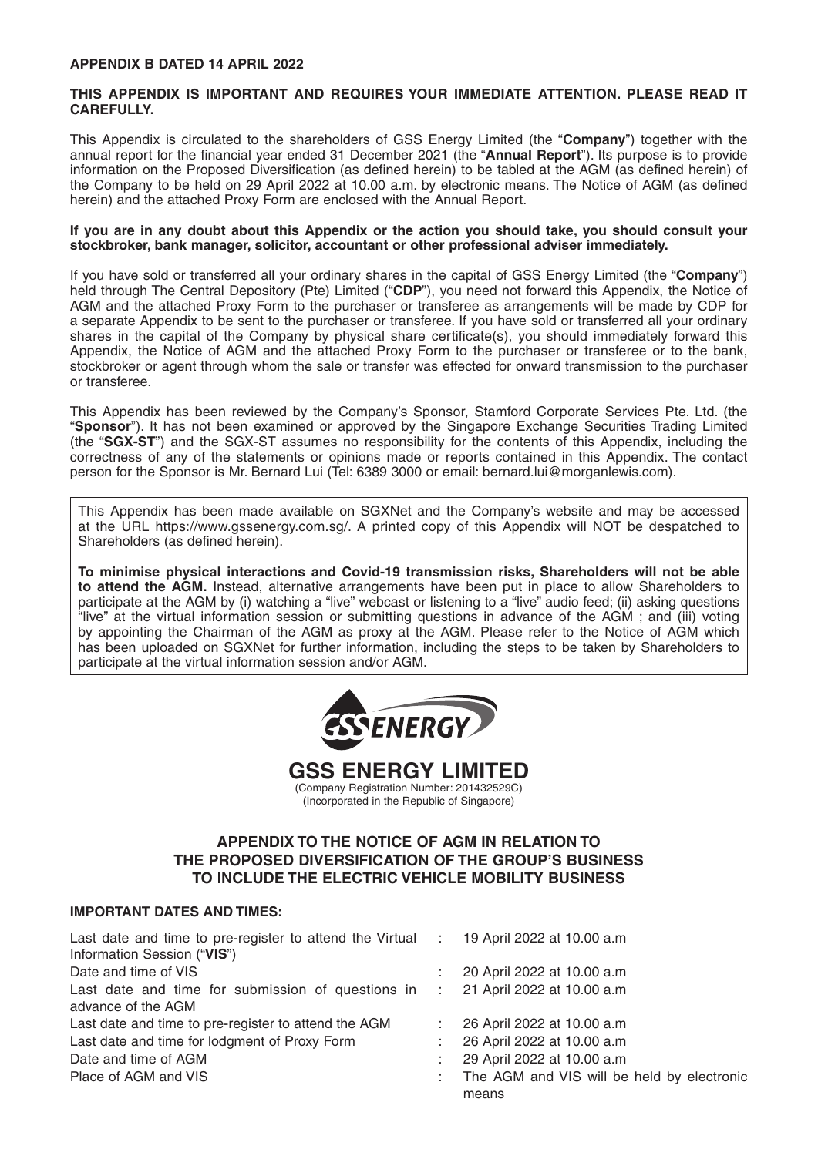#### **APPENDIX B DATED 14 APRIL 2022**

#### **THIS APPENDIX IS IMPORTANT AND REQUIRES YOUR IMMEDIATE ATTENTION. PLEASE READ IT CAREFULLY.**

This Appendix is circulated to the shareholders of GSS Energy Limited (the "**Company**") together with the annual report for the financial year ended 31 December 2021 (the "**Annual Report**"). Its purpose is to provide information on the Proposed Diversification (as defined herein) to be tabled at the AGM (as defined herein) of the Company to be held on 29 April 2022 at 10.00 a.m. by electronic means. The Notice of AGM (as defined herein) and the attached Proxy Form are enclosed with the Annual Report.

#### **If you are in any doubt about this Appendix or the action you should take, you should consult your stockbroker, bank manager, solicitor, accountant or other professional adviser immediately.**

If you have sold or transferred all your ordinary shares in the capital of GSS Energy Limited (the "**Company**") held through The Central Depository (Pte) Limited ("**CDP**"), you need not forward this Appendix, the Notice of AGM and the attached Proxy Form to the purchaser or transferee as arrangements will be made by CDP for a separate Appendix to be sent to the purchaser or transferee. If you have sold or transferred all your ordinary shares in the capital of the Company by physical share certificate(s), you should immediately forward this Appendix, the Notice of AGM and the attached Proxy Form to the purchaser or transferee or to the bank, stockbroker or agent through whom the sale or transfer was effected for onward transmission to the purchaser or transferee.

This Appendix has been reviewed by the Company's Sponsor, Stamford Corporate Services Pte. Ltd. (the "**Sponsor**"). It has not been examined or approved by the Singapore Exchange Securities Trading Limited (the "**SGX-ST**") and the SGX-ST assumes no responsibility for the contents of this Appendix, including the correctness of any of the statements or opinions made or reports contained in this Appendix. The contact person for the Sponsor is Mr. Bernard Lui (Tel: 6389 3000 or email: bernard.lui@morganlewis.com).

This Appendix has been made available on SGXNet and the Company's website and may be accessed at the URL https://www.gssenergy.com.sg/. A printed copy of this Appendix will NOT be despatched to Shareholders (as defined herein).

**To minimise physical interactions and Covid-19 transmission risks, Shareholders will not be able to attend the AGM.** Instead, alternative arrangements have been put in place to allow Shareholders to participate at the AGM by (i) watching a "live" webcast or listening to a "live" audio feed; (ii) asking questions "live" at the virtual information session or submitting questions in advance of the AGM ; and (iii) voting by appointing the Chairman of the AGM as proxy at the AGM. Please refer to the Notice of AGM which has been uploaded on SGXNet for further information, including the steps to be taken by Shareholders to participate at the virtual information session and/or AGM.





(Incorporated in the Republic of Singapore)

## **APPENDIX TO THE NOTICE OF AGM IN RELATION TO THE PROPOSED DIVERSIFICATION OF THE GROUP'S BUSINESS TO INCLUDE THE ELECTRIC VEHICLE MOBILITY BUSINESS**

## **IMPORTANT DATES AND TIMES:**

| Last date and time to pre-register to attend the Virtual : 19 April 2022 at 10.00 a.m<br>Information Session ("VIS") |                                                     |
|----------------------------------------------------------------------------------------------------------------------|-----------------------------------------------------|
| Date and time of VIS                                                                                                 | 20 April 2022 at 10.00 a.m                          |
| Last date and time for submission of questions in : 21 April 2022 at 10.00 a.m<br>advance of the AGM                 |                                                     |
| Last date and time to pre-register to attend the AGM                                                                 | 26 April 2022 at 10.00 a.m                          |
| Last date and time for lodgment of Proxy Form                                                                        | 26 April 2022 at 10.00 a.m                          |
| Date and time of AGM                                                                                                 | 29 April 2022 at 10.00 a.m                          |
| Place of AGM and VIS                                                                                                 | The AGM and VIS will be held by electronic<br>means |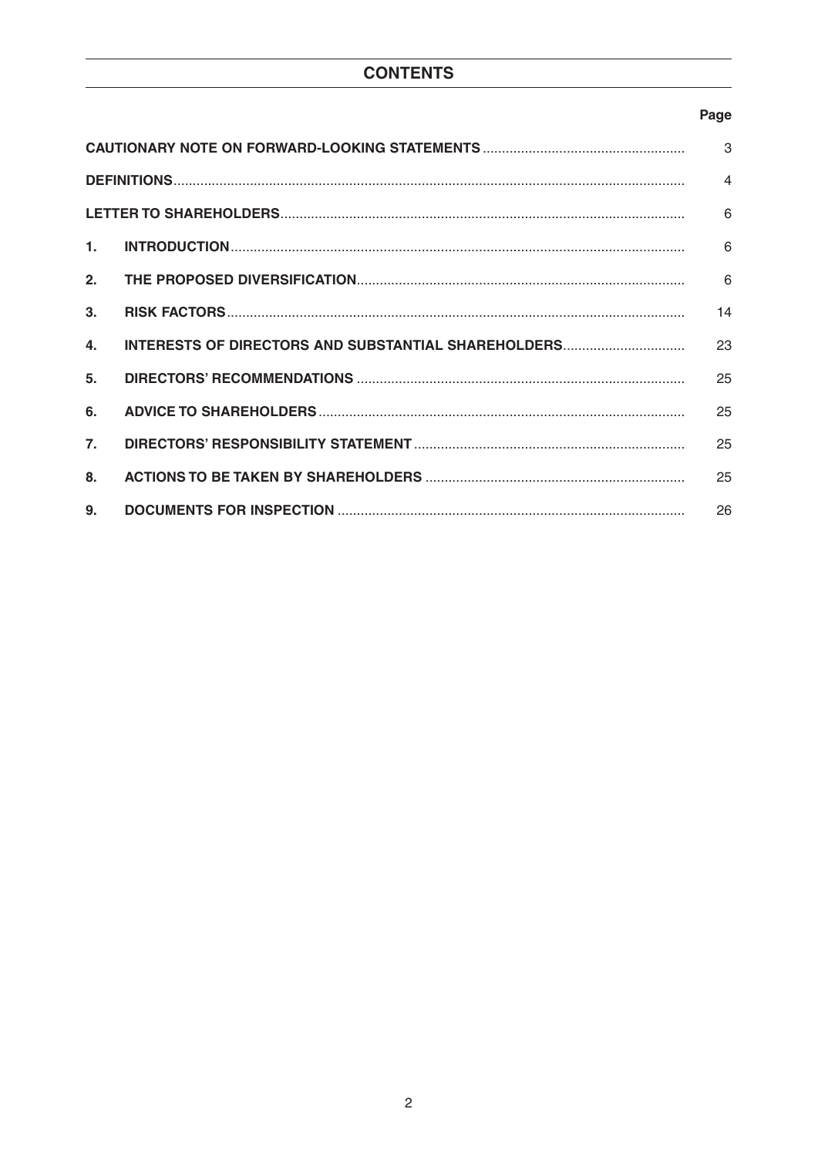# **CONTENTS**

## Page

| 3                |                                                     |                         |  |  |
|------------------|-----------------------------------------------------|-------------------------|--|--|
|                  |                                                     | $\overline{\mathbf{A}}$ |  |  |
|                  |                                                     | 6                       |  |  |
| $\mathbf{1}$ .   |                                                     | 6                       |  |  |
| 2.               |                                                     | 6                       |  |  |
| 3.               |                                                     | 14                      |  |  |
| 4.               | INTERESTS OF DIRECTORS AND SUBSTANTIAL SHAREHOLDERS | 23                      |  |  |
| 5.               |                                                     | 25                      |  |  |
| 6.               |                                                     | 25                      |  |  |
| $\overline{7}$ . |                                                     | 25                      |  |  |
| 8.               |                                                     | 25                      |  |  |
| 9.               |                                                     | 26                      |  |  |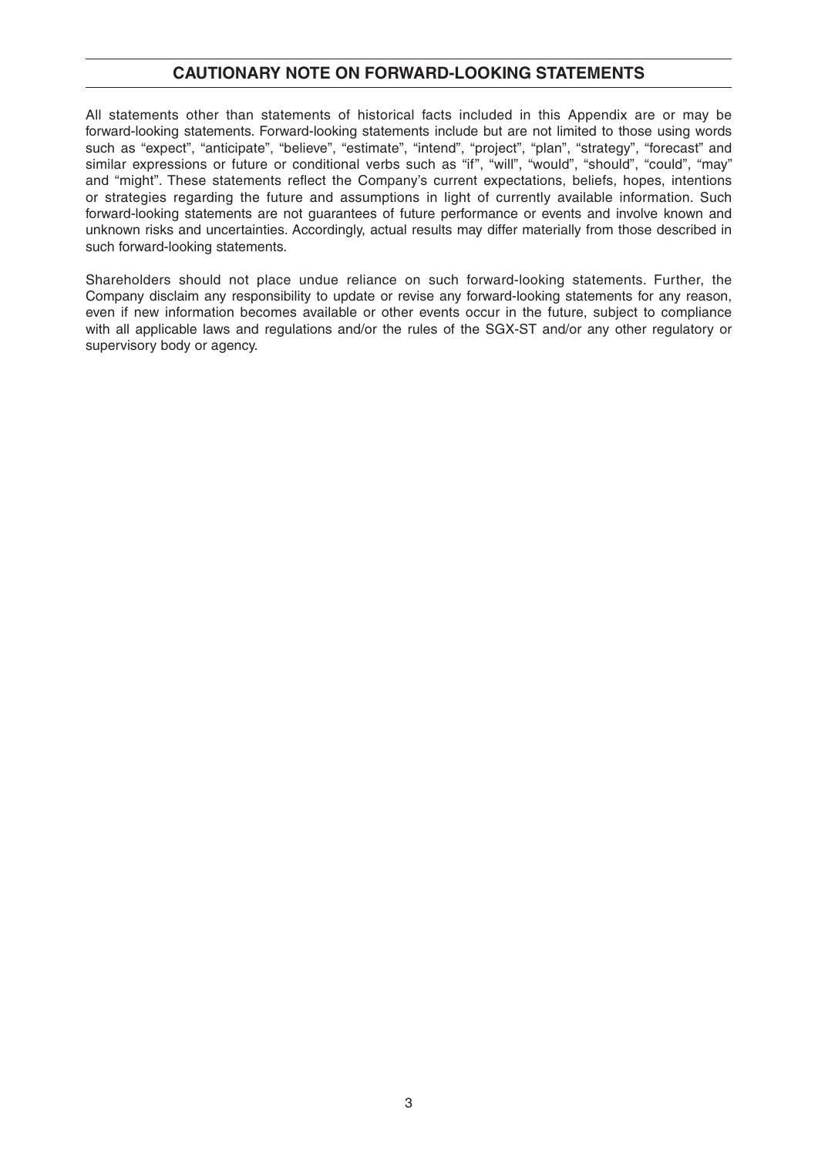## **CAUTIONARY NOTE ON FORWARD-LOOKING STATEMENTS**

All statements other than statements of historical facts included in this Appendix are or may be forward-looking statements. Forward-looking statements include but are not limited to those using words such as "expect", "anticipate", "believe", "estimate", "intend", "project", "plan", "strategy", "forecast" and similar expressions or future or conditional verbs such as "if", "will", "would", "should", "could", "may" and "might". These statements reflect the Company's current expectations, beliefs, hopes, intentions or strategies regarding the future and assumptions in light of currently available information. Such forward-looking statements are not guarantees of future performance or events and involve known and unknown risks and uncertainties. Accordingly, actual results may differ materially from those described in such forward-looking statements.

Shareholders should not place undue reliance on such forward-looking statements. Further, the Company disclaim any responsibility to update or revise any forward-looking statements for any reason, even if new information becomes available or other events occur in the future, subject to compliance with all applicable laws and regulations and/or the rules of the SGX-ST and/or any other regulatory or supervisory body or agency.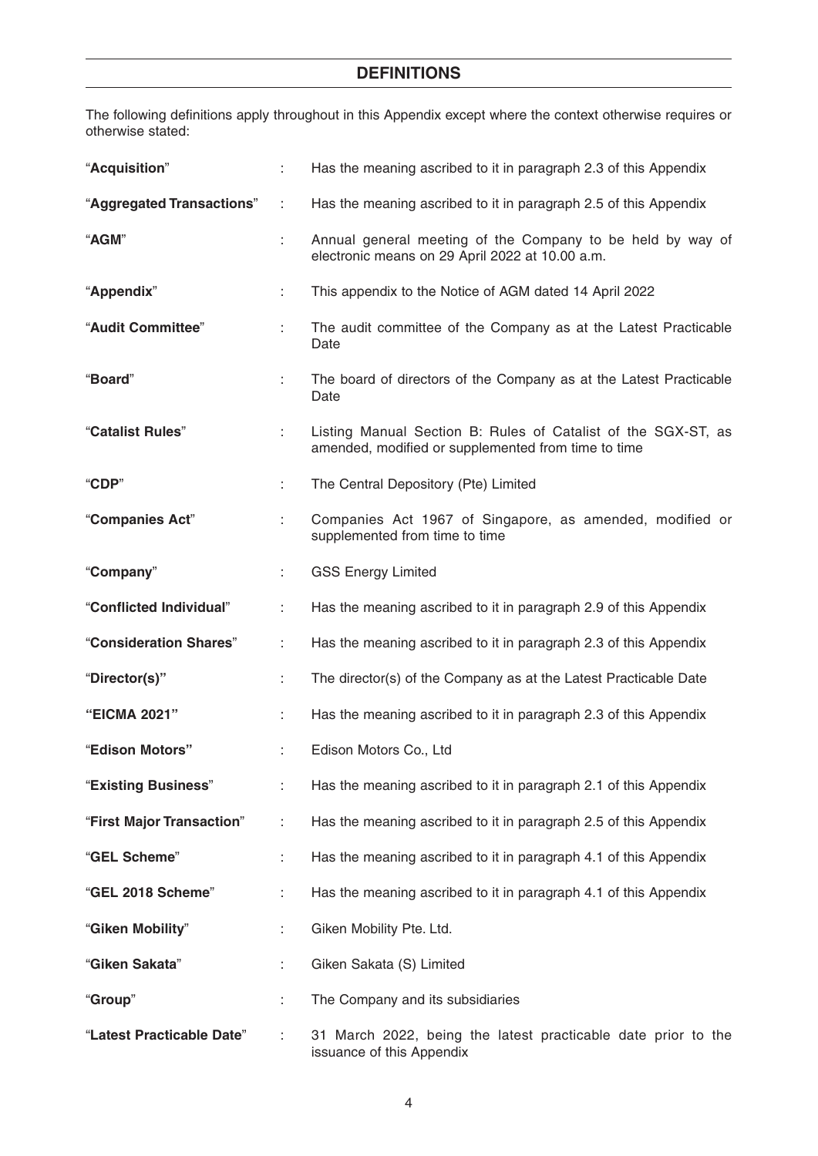# **DEFINITIONS**

The following definitions apply throughout in this Appendix except where the context otherwise requires or otherwise stated:

| "Acquisition"             | ÷  | Has the meaning ascribed to it in paragraph 2.3 of this Appendix                                                     |
|---------------------------|----|----------------------------------------------------------------------------------------------------------------------|
| "Aggregated Transactions" | ÷  | Has the meaning ascribed to it in paragraph 2.5 of this Appendix                                                     |
| "AGM"                     |    | Annual general meeting of the Company to be held by way of<br>electronic means on 29 April 2022 at 10.00 a.m.        |
| "Appendix"                | ÷  | This appendix to the Notice of AGM dated 14 April 2022                                                               |
| "Audit Committee"         |    | The audit committee of the Company as at the Latest Practicable<br>Date                                              |
| "Board"                   | ÷  | The board of directors of the Company as at the Latest Practicable<br>Date                                           |
| "Catalist Rules"          |    | Listing Manual Section B: Rules of Catalist of the SGX-ST, as<br>amended, modified or supplemented from time to time |
| "CDP"                     |    | The Central Depository (Pte) Limited                                                                                 |
| "Companies Act"           | ÷. | Companies Act 1967 of Singapore, as amended, modified or<br>supplemented from time to time                           |
| "Company"                 | ÷  | <b>GSS Energy Limited</b>                                                                                            |
| "Conflicted Individual"   |    | Has the meaning ascribed to it in paragraph 2.9 of this Appendix                                                     |
| "Consideration Shares"    | ÷  | Has the meaning ascribed to it in paragraph 2.3 of this Appendix                                                     |
| "Director(s)"             | ÷. | The director(s) of the Company as at the Latest Practicable Date                                                     |
| "EICMA 2021"              |    | Has the meaning ascribed to it in paragraph 2.3 of this Appendix                                                     |
| "Edison Motors"           | ÷  | Edison Motors Co., Ltd                                                                                               |
| "Existing Business"       | ÷. | Has the meaning ascribed to it in paragraph 2.1 of this Appendix                                                     |
| "First Major Transaction" |    | Has the meaning ascribed to it in paragraph 2.5 of this Appendix                                                     |
| "GEL Scheme"              |    | Has the meaning ascribed to it in paragraph 4.1 of this Appendix                                                     |
| "GEL 2018 Scheme"         | ÷. | Has the meaning ascribed to it in paragraph 4.1 of this Appendix                                                     |
| "Giken Mobility"          |    | Giken Mobility Pte. Ltd.                                                                                             |
| "Giken Sakata"            |    | Giken Sakata (S) Limited                                                                                             |
| "Group"                   |    | The Company and its subsidiaries                                                                                     |
| "Latest Practicable Date" |    | 31 March 2022, being the latest practicable date prior to the<br>issuance of this Appendix                           |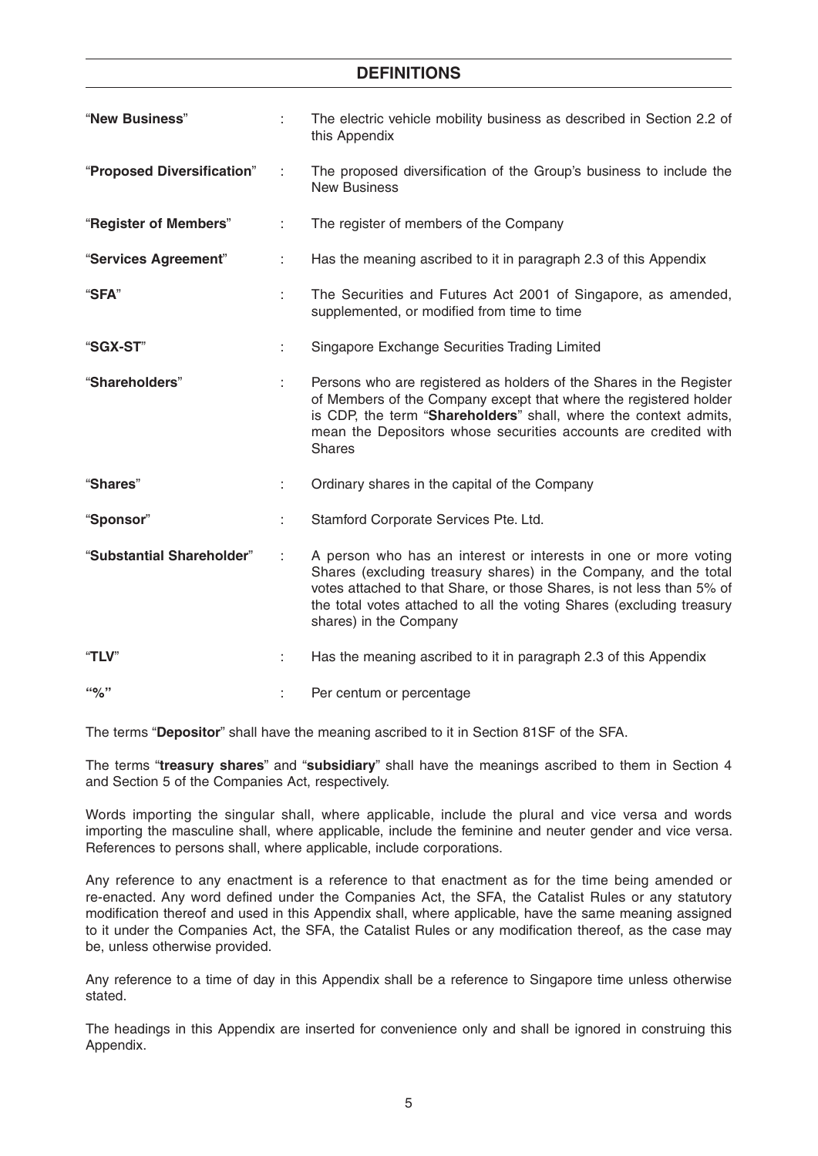## **DEFINITIONS**

| "New Business"             |   | The electric vehicle mobility business as described in Section 2.2 of<br>this Appendix                                                                                                                                                                                                                          |
|----------------------------|---|-----------------------------------------------------------------------------------------------------------------------------------------------------------------------------------------------------------------------------------------------------------------------------------------------------------------|
| "Proposed Diversification" |   | The proposed diversification of the Group's business to include the<br><b>New Business</b>                                                                                                                                                                                                                      |
| "Register of Members"      | ÷ | The register of members of the Company                                                                                                                                                                                                                                                                          |
| "Services Agreement"       |   | Has the meaning ascribed to it in paragraph 2.3 of this Appendix                                                                                                                                                                                                                                                |
| "SFA"                      |   | The Securities and Futures Act 2001 of Singapore, as amended,<br>supplemented, or modified from time to time                                                                                                                                                                                                    |
| "SGX-ST"                   |   | Singapore Exchange Securities Trading Limited                                                                                                                                                                                                                                                                   |
| "Shareholders"             |   | Persons who are registered as holders of the Shares in the Register<br>of Members of the Company except that where the registered holder<br>is CDP, the term "Shareholders" shall, where the context admits,<br>mean the Depositors whose securities accounts are credited with<br><b>Shares</b>                |
| "Shares"                   |   | Ordinary shares in the capital of the Company                                                                                                                                                                                                                                                                   |
| "Sponsor"                  |   | Stamford Corporate Services Pte. Ltd.                                                                                                                                                                                                                                                                           |
| "Substantial Shareholder"  | ÷ | A person who has an interest or interests in one or more voting<br>Shares (excluding treasury shares) in the Company, and the total<br>votes attached to that Share, or those Shares, is not less than 5% of<br>the total votes attached to all the voting Shares (excluding treasury<br>shares) in the Company |
| "TLV"                      |   | Has the meaning ascribed to it in paragraph 2.3 of this Appendix                                                                                                                                                                                                                                                |
| $``\%"$                    |   | Per centum or percentage                                                                                                                                                                                                                                                                                        |

The terms "**Depositor**" shall have the meaning ascribed to it in Section 81SF of the SFA.

The terms "**treasury shares**" and "**subsidiary**" shall have the meanings ascribed to them in Section 4 and Section 5 of the Companies Act, respectively.

Words importing the singular shall, where applicable, include the plural and vice versa and words importing the masculine shall, where applicable, include the feminine and neuter gender and vice versa. References to persons shall, where applicable, include corporations.

Any reference to any enactment is a reference to that enactment as for the time being amended or re-enacted. Any word defined under the Companies Act, the SFA, the Catalist Rules or any statutory modification thereof and used in this Appendix shall, where applicable, have the same meaning assigned to it under the Companies Act, the SFA, the Catalist Rules or any modification thereof, as the case may be, unless otherwise provided.

Any reference to a time of day in this Appendix shall be a reference to Singapore time unless otherwise stated.

The headings in this Appendix are inserted for convenience only and shall be ignored in construing this Appendix.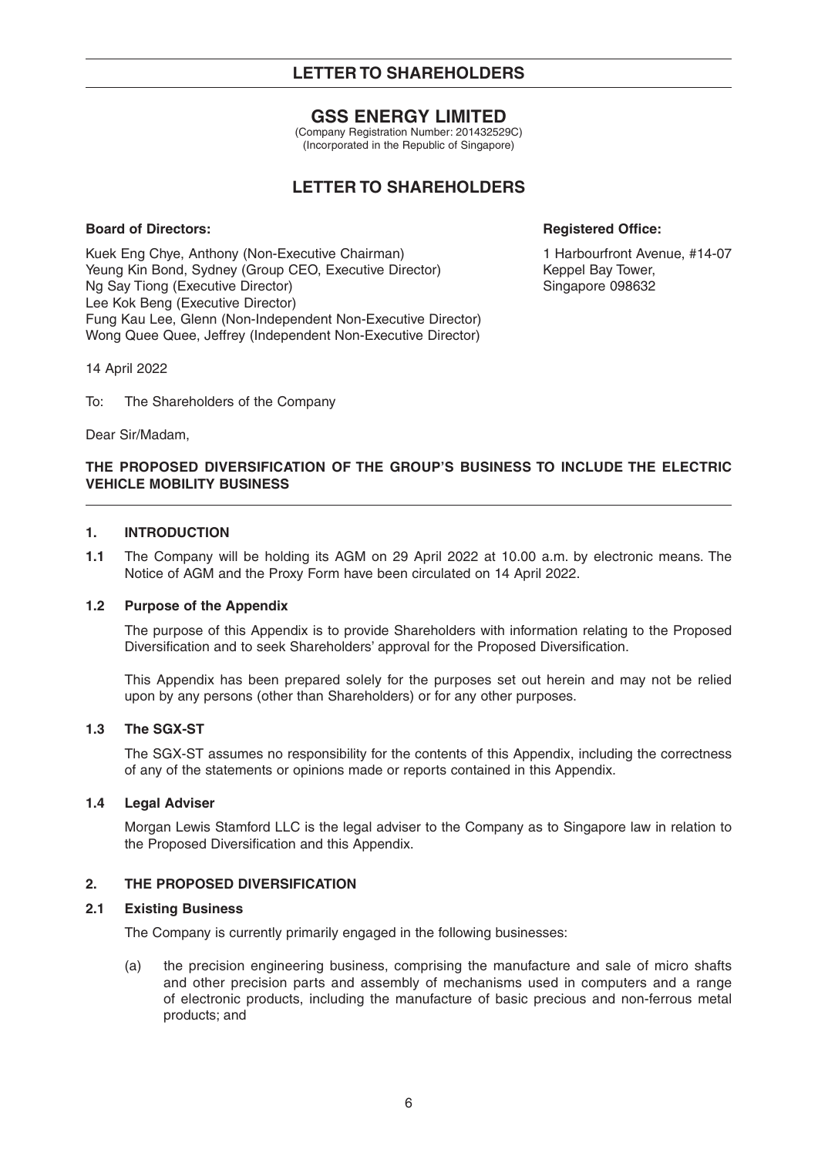## **GSS ENERGY LIMITED**

(Company Registration Number: 201432529C) (Incorporated in the Republic of Singapore)

# **LETTER TO SHAREHOLDERS**

### **Board of Directors: Registered Office: Registered Office: Registered Office:**

Kuek Eng Chye, Anthony (Non-Executive Chairman) 1 Harbourfront Avenue, #14-07 Yeung Kin Bond, Sydney (Group CEO, Executive Director) Keppel Bay Tower, Ng Say Tiong (Executive Director) Singapore 098632 Lee Kok Beng (Executive Director) Fung Kau Lee, Glenn (Non-Independent Non-Executive Director) Wong Quee Quee, Jeffrey (Independent Non-Executive Director)

14 April 2022

To: The Shareholders of the Company

Dear Sir/Madam,

## **THE PROPOSED DIVERSIFICATION OF THE GROUP'S BUSINESS TO INCLUDE THE ELECTRIC VEHICLE MOBILITY BUSINESS**

### **1. INTRODUCTION**

**1.1** The Company will be holding its AGM on 29 April 2022 at 10.00 a.m. by electronic means. The Notice of AGM and the Proxy Form have been circulated on 14 April 2022.

#### **1.2 Purpose of the Appendix**

 The purpose of this Appendix is to provide Shareholders with information relating to the Proposed Diversification and to seek Shareholders' approval for the Proposed Diversification.

 This Appendix has been prepared solely for the purposes set out herein and may not be relied upon by any persons (other than Shareholders) or for any other purposes.

### **1.3 The SGX-ST**

 The SGX-ST assumes no responsibility for the contents of this Appendix, including the correctness of any of the statements or opinions made or reports contained in this Appendix.

## **1.4 Legal Adviser**

 Morgan Lewis Stamford LLC is the legal adviser to the Company as to Singapore law in relation to the Proposed Diversification and this Appendix.

## **2. THE PROPOSED DIVERSIFICATION**

### **2.1 Existing Business**

The Company is currently primarily engaged in the following businesses:

 (a) the precision engineering business, comprising the manufacture and sale of micro shafts and other precision parts and assembly of mechanisms used in computers and a range of electronic products, including the manufacture of basic precious and non-ferrous metal products; and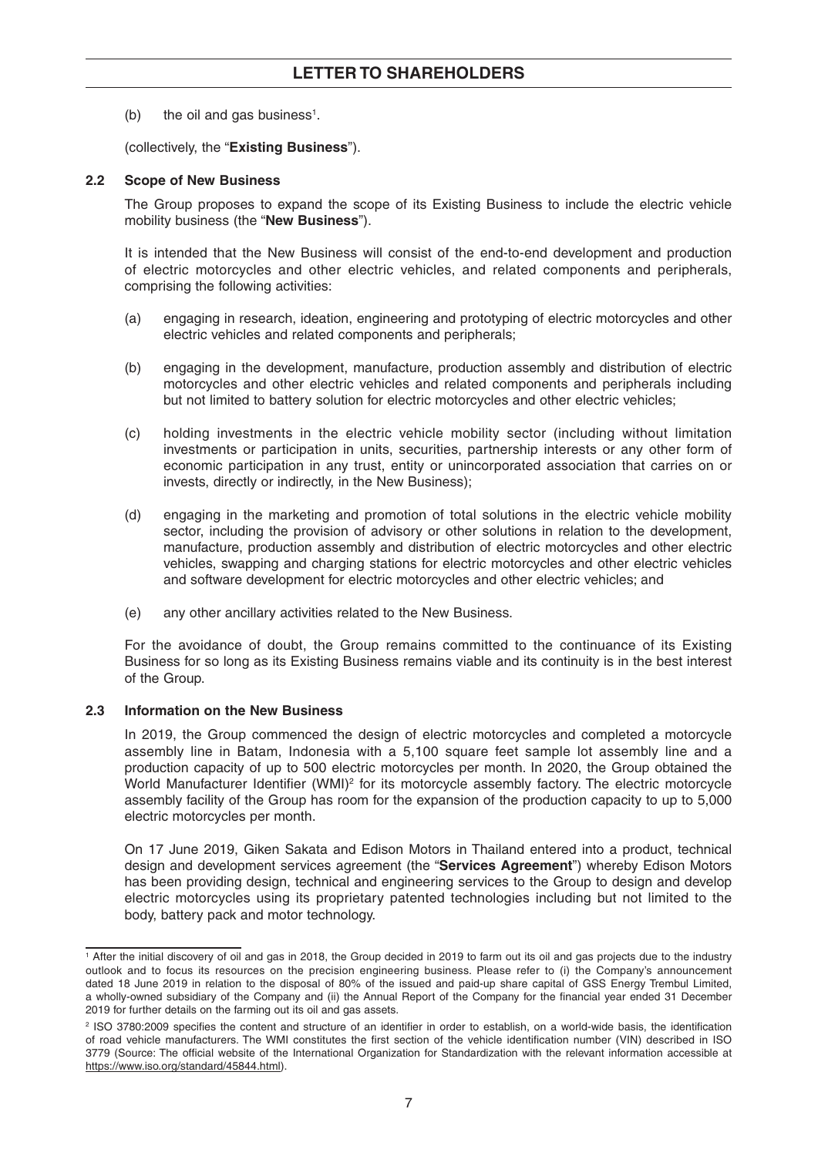(b) the oil and gas business<sup>1</sup>.

(collectively, the "**Existing Business**").

## **2.2 Scope of New Business**

 The Group proposes to expand the scope of its Existing Business to include the electric vehicle mobility business (the "**New Business**").

 It is intended that the New Business will consist of the end-to-end development and production of electric motorcycles and other electric vehicles, and related components and peripherals, comprising the following activities:

- (a) engaging in research, ideation, engineering and prototyping of electric motorcycles and other electric vehicles and related components and peripherals;
- (b) engaging in the development, manufacture, production assembly and distribution of electric motorcycles and other electric vehicles and related components and peripherals including but not limited to battery solution for electric motorcycles and other electric vehicles;
- (c) holding investments in the electric vehicle mobility sector (including without limitation investments or participation in units, securities, partnership interests or any other form of economic participation in any trust, entity or unincorporated association that carries on or invests, directly or indirectly, in the New Business);
- (d) engaging in the marketing and promotion of total solutions in the electric vehicle mobility sector, including the provision of advisory or other solutions in relation to the development, manufacture, production assembly and distribution of electric motorcycles and other electric vehicles, swapping and charging stations for electric motorcycles and other electric vehicles and software development for electric motorcycles and other electric vehicles; and
- (e) any other ancillary activities related to the New Business.

 For the avoidance of doubt, the Group remains committed to the continuance of its Existing Business for so long as its Existing Business remains viable and its continuity is in the best interest of the Group.

## **2.3 Information on the New Business**

 In 2019, the Group commenced the design of electric motorcycles and completed a motorcycle assembly line in Batam, Indonesia with a 5,100 square feet sample lot assembly line and a production capacity of up to 500 electric motorcycles per month. In 2020, the Group obtained the World Manufacturer Identifier (WMI)<sup>2</sup> for its motorcycle assembly factory. The electric motorcycle assembly facility of the Group has room for the expansion of the production capacity to up to 5,000 electric motorcycles per month.

 On 17 June 2019, Giken Sakata and Edison Motors in Thailand entered into a product, technical design and development services agreement (the "**Services Agreement**") whereby Edison Motors has been providing design, technical and engineering services to the Group to design and develop electric motorcycles using its proprietary patented technologies including but not limited to the body, battery pack and motor technology.

<sup>1</sup> After the initial discovery of oil and gas in 2018, the Group decided in 2019 to farm out its oil and gas projects due to the industry outlook and to focus its resources on the precision engineering business. Please refer to (i) the Company's announcement dated 18 June 2019 in relation to the disposal of 80% of the issued and paid-up share capital of GSS Energy Trembul Limited, a wholly-owned subsidiary of the Company and (ii) the Annual Report of the Company for the financial year ended 31 December 2019 for further details on the farming out its oil and gas assets.

<sup>&</sup>lt;sup>2</sup> ISO 3780:2009 specifies the content and structure of an identifier in order to establish, on a world-wide basis, the identification of road vehicle manufacturers. The WMI constitutes the first section of the vehicle identification number (VIN) described in ISO 3779 (Source: The official website of the International Organization for Standardization with the relevant information accessible at https://www.iso.org/standard/45844.html).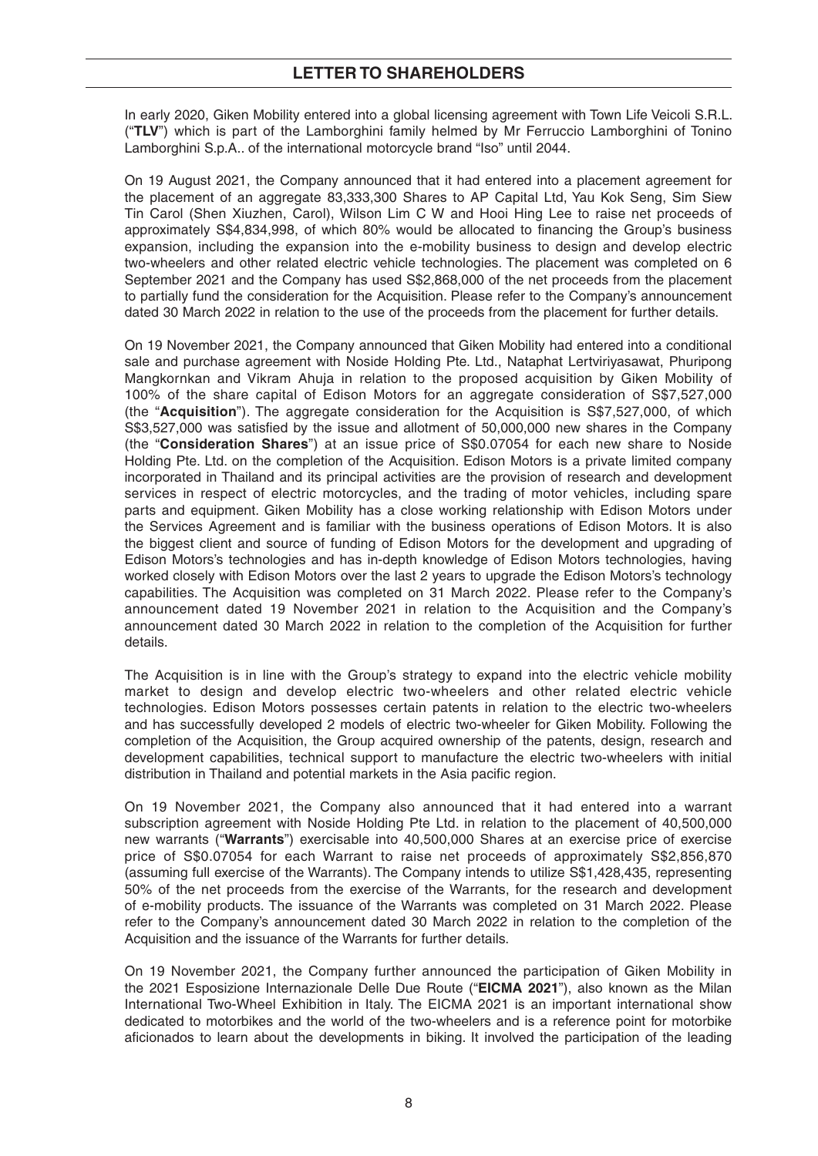In early 2020, Giken Mobility entered into a global licensing agreement with Town Life Veicoli S.R.L. ("**TLV**") which is part of the Lamborghini family helmed by Mr Ferruccio Lamborghini of Tonino Lamborghini S.p.A.. of the international motorcycle brand "Iso" until 2044.

 On 19 August 2021, the Company announced that it had entered into a placement agreement for the placement of an aggregate 83,333,300 Shares to AP Capital Ltd, Yau Kok Seng, Sim Siew Tin Carol (Shen Xiuzhen, Carol), Wilson Lim C W and Hooi Hing Lee to raise net proceeds of approximately S\$4,834,998, of which 80% would be allocated to financing the Group's business expansion, including the expansion into the e-mobility business to design and develop electric two-wheelers and other related electric vehicle technologies. The placement was completed on 6 September 2021 and the Company has used S\$2,868,000 of the net proceeds from the placement to partially fund the consideration for the Acquisition. Please refer to the Company's announcement dated 30 March 2022 in relation to the use of the proceeds from the placement for further details.

 On 19 November 2021, the Company announced that Giken Mobility had entered into a conditional sale and purchase agreement with Noside Holding Pte. Ltd., Nataphat Lertviriyasawat, Phuripong Mangkornkan and Vikram Ahuja in relation to the proposed acquisition by Giken Mobility of 100% of the share capital of Edison Motors for an aggregate consideration of S\$7,527,000 (the "**Acquisition**"). The aggregate consideration for the Acquisition is S\$7,527,000, of which S\$3,527,000 was satisfied by the issue and allotment of 50,000,000 new shares in the Company (the "**Consideration Shares**") at an issue price of S\$0.07054 for each new share to Noside Holding Pte. Ltd. on the completion of the Acquisition. Edison Motors is a private limited company incorporated in Thailand and its principal activities are the provision of research and development services in respect of electric motorcycles, and the trading of motor vehicles, including spare parts and equipment. Giken Mobility has a close working relationship with Edison Motors under the Services Agreement and is familiar with the business operations of Edison Motors. It is also the biggest client and source of funding of Edison Motors for the development and upgrading of Edison Motors's technologies and has in-depth knowledge of Edison Motors technologies, having worked closely with Edison Motors over the last 2 years to upgrade the Edison Motors's technology capabilities. The Acquisition was completed on 31 March 2022. Please refer to the Company's announcement dated 19 November 2021 in relation to the Acquisition and the Company's announcement dated 30 March 2022 in relation to the completion of the Acquisition for further details.

 The Acquisition is in line with the Group's strategy to expand into the electric vehicle mobility market to design and develop electric two-wheelers and other related electric vehicle technologies. Edison Motors possesses certain patents in relation to the electric two-wheelers and has successfully developed 2 models of electric two-wheeler for Giken Mobility. Following the completion of the Acquisition, the Group acquired ownership of the patents, design, research and development capabilities, technical support to manufacture the electric two-wheelers with initial distribution in Thailand and potential markets in the Asia pacific region.

 On 19 November 2021, the Company also announced that it had entered into a warrant subscription agreement with Noside Holding Pte Ltd. in relation to the placement of 40,500,000 new warrants ("**Warrants**") exercisable into 40,500,000 Shares at an exercise price of exercise price of S\$0.07054 for each Warrant to raise net proceeds of approximately S\$2,856,870 (assuming full exercise of the Warrants). The Company intends to utilize S\$1,428,435, representing 50% of the net proceeds from the exercise of the Warrants, for the research and development of e-mobility products. The issuance of the Warrants was completed on 31 March 2022. Please refer to the Company's announcement dated 30 March 2022 in relation to the completion of the Acquisition and the issuance of the Warrants for further details.

 On 19 November 2021, the Company further announced the participation of Giken Mobility in the 2021 Esposizione Internazionale Delle Due Route ("**EICMA 2021**"), also known as the Milan International Two-Wheel Exhibition in Italy. The EICMA 2021 is an important international show dedicated to motorbikes and the world of the two-wheelers and is a reference point for motorbike aficionados to learn about the developments in biking. It involved the participation of the leading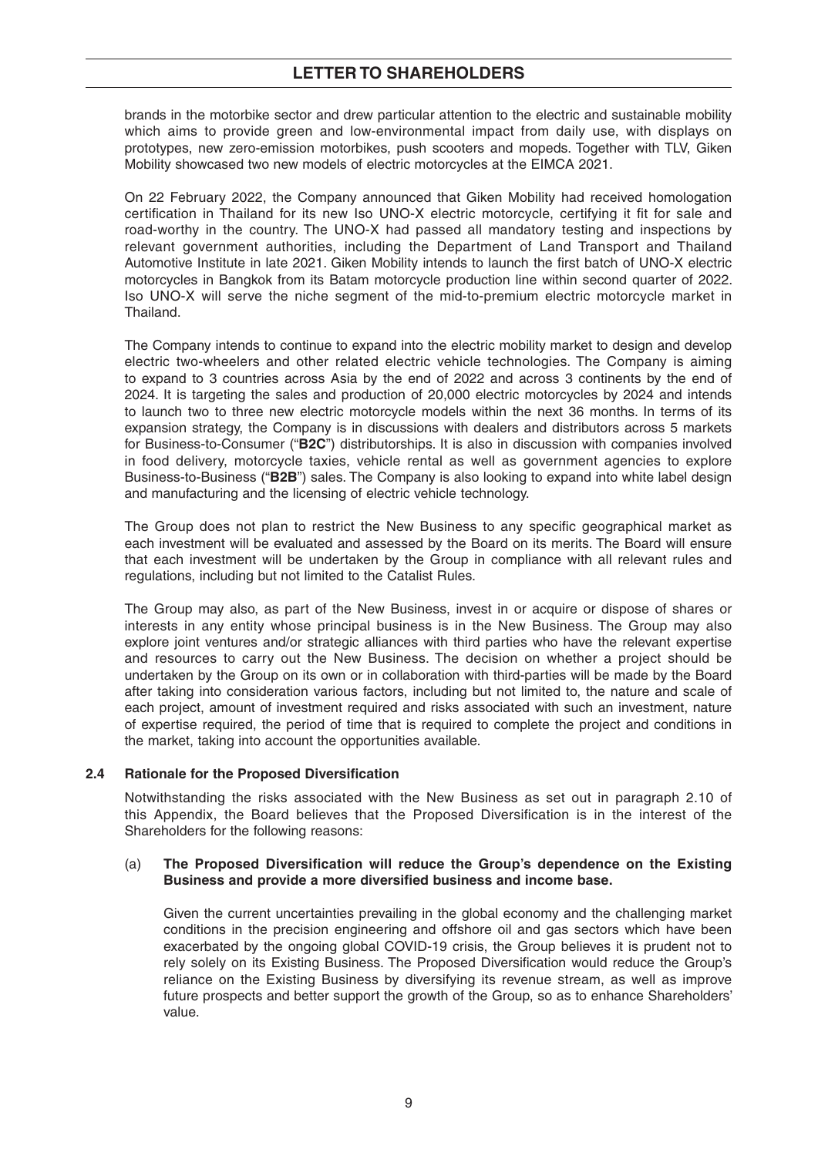brands in the motorbike sector and drew particular attention to the electric and sustainable mobility which aims to provide green and low-environmental impact from daily use, with displays on prototypes, new zero-emission motorbikes, push scooters and mopeds. Together with TLV, Giken Mobility showcased two new models of electric motorcycles at the EIMCA 2021.

 On 22 February 2022, the Company announced that Giken Mobility had received homologation certification in Thailand for its new Iso UNO-X electric motorcycle, certifying it fit for sale and road-worthy in the country. The UNO-X had passed all mandatory testing and inspections by relevant government authorities, including the Department of Land Transport and Thailand Automotive Institute in late 2021. Giken Mobility intends to launch the first batch of UNO-X electric motorcycles in Bangkok from its Batam motorcycle production line within second quarter of 2022. Iso UNO-X will serve the niche segment of the mid-to-premium electric motorcycle market in Thailand.

 The Company intends to continue to expand into the electric mobility market to design and develop electric two-wheelers and other related electric vehicle technologies. The Company is aiming to expand to 3 countries across Asia by the end of 2022 and across 3 continents by the end of 2024. It is targeting the sales and production of 20,000 electric motorcycles by 2024 and intends to launch two to three new electric motorcycle models within the next 36 months. In terms of its expansion strategy, the Company is in discussions with dealers and distributors across 5 markets for Business-to-Consumer ("**B2C**") distributorships. It is also in discussion with companies involved in food delivery, motorcycle taxies, vehicle rental as well as government agencies to explore Business-to-Business ("**B2B**") sales. The Company is also looking to expand into white label design and manufacturing and the licensing of electric vehicle technology.

The Group does not plan to restrict the New Business to any specific geographical market as each investment will be evaluated and assessed by the Board on its merits. The Board will ensure that each investment will be undertaken by the Group in compliance with all relevant rules and regulations, including but not limited to the Catalist Rules.

 The Group may also, as part of the New Business, invest in or acquire or dispose of shares or interests in any entity whose principal business is in the New Business. The Group may also explore joint ventures and/or strategic alliances with third parties who have the relevant expertise and resources to carry out the New Business. The decision on whether a project should be undertaken by the Group on its own or in collaboration with third-parties will be made by the Board after taking into consideration various factors, including but not limited to, the nature and scale of each project, amount of investment required and risks associated with such an investment, nature of expertise required, the period of time that is required to complete the project and conditions in the market, taking into account the opportunities available.

## **2.4 Rationale for the Proposed Diversification**

 Notwithstanding the risks associated with the New Business as set out in paragraph 2.10 of this Appendix, the Board believes that the Proposed Diversification is in the interest of the Shareholders for the following reasons:

#### (a) The Proposed Diversification will reduce the Group's dependence on the Existing **Business and provide a more diversified business and income base.**

 Given the current uncertainties prevailing in the global economy and the challenging market conditions in the precision engineering and offshore oil and gas sectors which have been exacerbated by the ongoing global COVID-19 crisis, the Group believes it is prudent not to rely solely on its Existing Business. The Proposed Diversification would reduce the Group's reliance on the Existing Business by diversifying its revenue stream, as well as improve future prospects and better support the growth of the Group, so as to enhance Shareholders' value.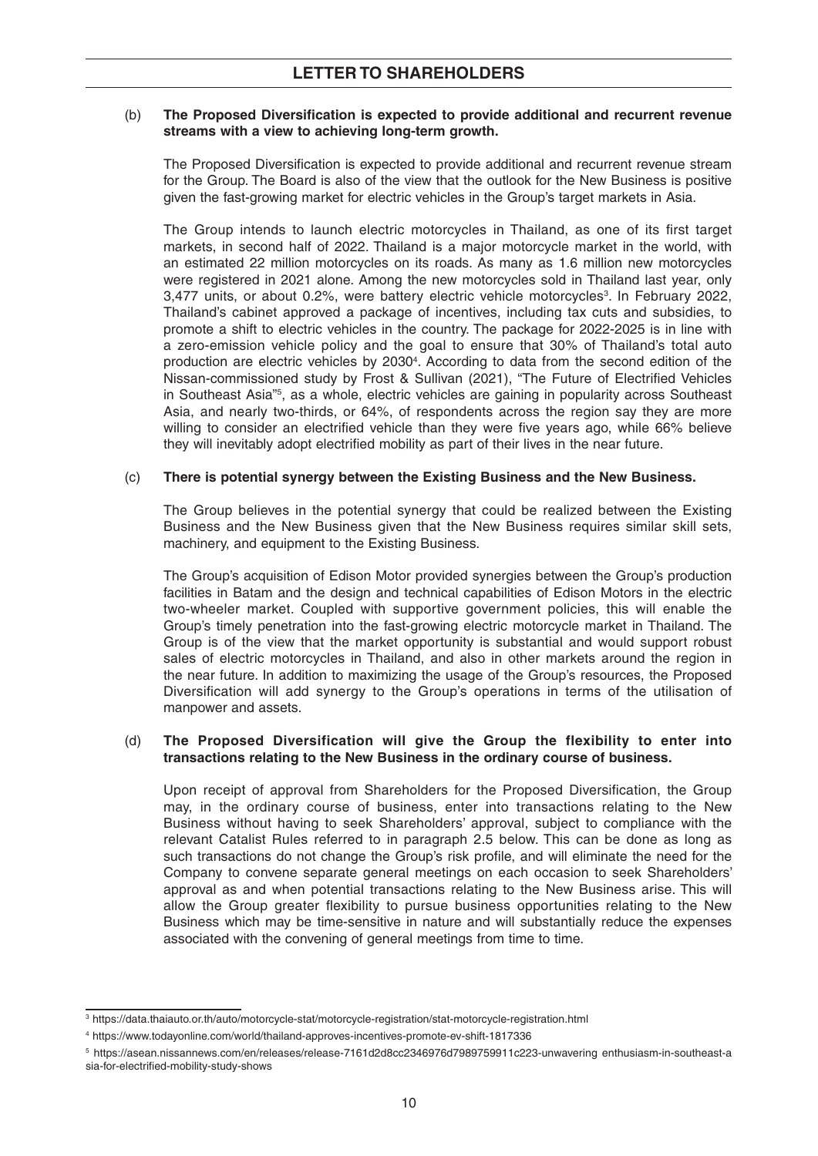#### (b) The Proposed Diversification is expected to provide additional and recurrent revenue **streams with a view to achieving long-term growth.**

The Proposed Diversification is expected to provide additional and recurrent revenue stream for the Group. The Board is also of the view that the outlook for the New Business is positive given the fast-growing market for electric vehicles in the Group's target markets in Asia.

The Group intends to launch electric motorcycles in Thailand, as one of its first target markets, in second half of 2022. Thailand is a major motorcycle market in the world, with an estimated 22 million motorcycles on its roads. As many as 1.6 million new motorcycles were registered in 2021 alone. Among the new motorcycles sold in Thailand last year, only 3,477 units, or about 0.2%, were battery electric vehicle motorcycles3 . In February 2022, Thailand's cabinet approved a package of incentives, including tax cuts and subsidies, to promote a shift to electric vehicles in the country. The package for 2022-2025 is in line with a zero-emission vehicle policy and the goal to ensure that 30% of Thailand's total auto production are electric vehicles by 20304 . According to data from the second edition of the Nissan-commissioned study by Frost & Sullivan (2021), "The Future of Electrified Vehicles in Southeast Asia"5 , as a whole, electric vehicles are gaining in popularity across Southeast Asia, and nearly two-thirds, or 64%, of respondents across the region say they are more willing to consider an electrified vehicle than they were five years ago, while 66% believe they will inevitably adopt electrified mobility as part of their lives in the near future.

## (c) **There is potential synergy between the Existing Business and the New Business.**

 The Group believes in the potential synergy that could be realized between the Existing Business and the New Business given that the New Business requires similar skill sets, machinery, and equipment to the Existing Business.

 The Group's acquisition of Edison Motor provided synergies between the Group's production facilities in Batam and the design and technical capabilities of Edison Motors in the electric two-wheeler market. Coupled with supportive government policies, this will enable the Group's timely penetration into the fast-growing electric motorcycle market in Thailand. The Group is of the view that the market opportunity is substantial and would support robust sales of electric motorcycles in Thailand, and also in other markets around the region in the near future. In addition to maximizing the usage of the Group's resources, the Proposed Diversification will add synergy to the Group's operations in terms of the utilisation of manpower and assets.

#### (d) **The Proposed Diversification will give the Group the flexibility to enter into transactions relating to the New Business in the ordinary course of business.**

Upon receipt of approval from Shareholders for the Proposed Diversification, the Group may, in the ordinary course of business, enter into transactions relating to the New Business without having to seek Shareholders' approval, subject to compliance with the relevant Catalist Rules referred to in paragraph 2.5 below. This can be done as long as such transactions do not change the Group's risk profile, and will eliminate the need for the Company to convene separate general meetings on each occasion to seek Shareholders' approval as and when potential transactions relating to the New Business arise. This will allow the Group greater flexibility to pursue business opportunities relating to the New Business which may be time-sensitive in nature and will substantially reduce the expenses associated with the convening of general meetings from time to time.

<sup>3</sup> https://data.thaiauto.or.th/auto/motorcycle-stat/motorcycle-registration/stat-motorcycle-registration.html

<sup>4</sup> https://www.todayonline.com/world/thailand-approves-incentives-promote-ev-shift-1817336

<sup>5</sup> https://asean.nissannews.com/en/releases/release-7161d2d8cc2346976d7989759911c223-unwavering enthusiasm-in-southeast-a sia-for-electrified-mobility-study-shows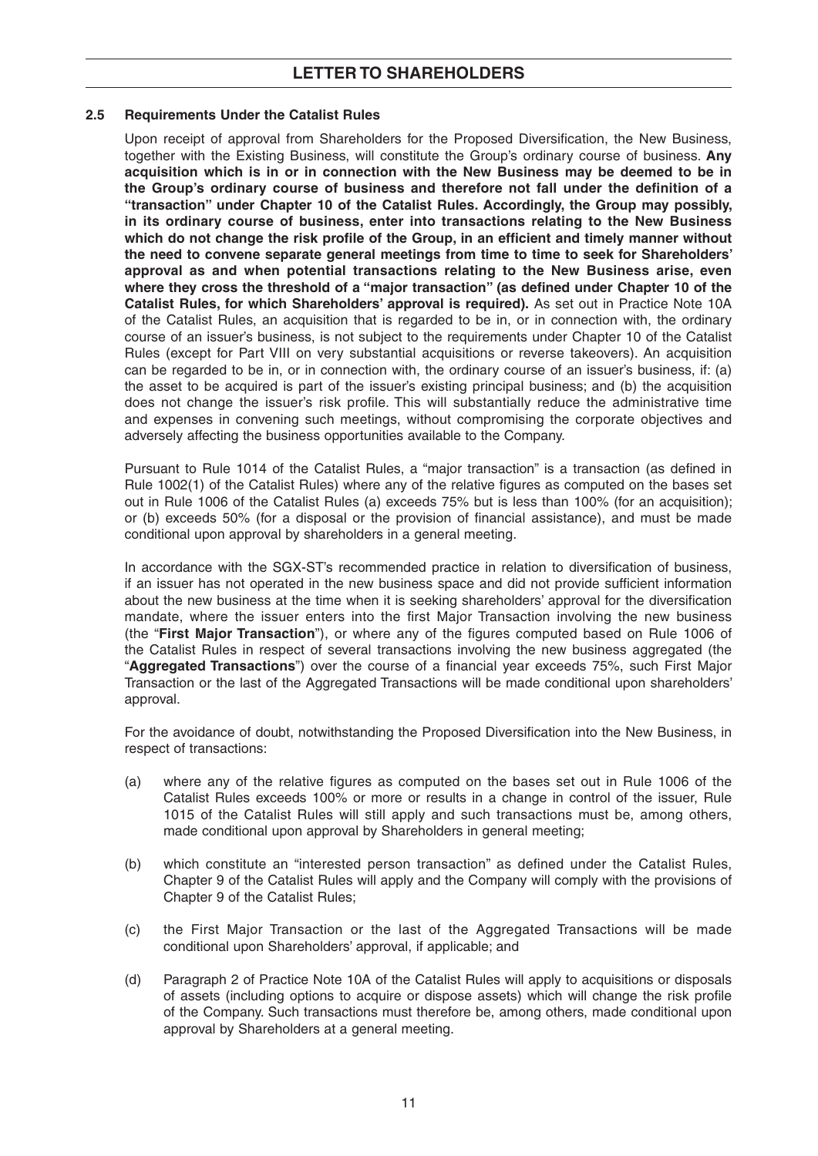#### **2.5 Requirements Under the Catalist Rules**

Upon receipt of approval from Shareholders for the Proposed Diversification, the New Business, together with the Existing Business, will constitute the Group's ordinary course of business. **Any acquisition which is in or in connection with the New Business may be deemed to be in**  the Group's ordinary course of business and therefore not fall under the definition of a **"transaction" under Chapter 10 of the Catalist Rules. Accordingly, the Group may possibly, in its ordinary course of business, enter into transactions relating to the New Business**  which do not change the risk profile of the Group, in an efficient and timely manner without **the need to convene separate general meetings from time to time to seek for Shareholders' approval as and when potential transactions relating to the New Business arise, even**  where they cross the threshold of a "major transaction" (as defined under Chapter 10 of the **Catalist Rules, for which Shareholders' approval is required).** As set out in Practice Note 10A of the Catalist Rules, an acquisition that is regarded to be in, or in connection with, the ordinary course of an issuer's business, is not subject to the requirements under Chapter 10 of the Catalist Rules (except for Part VIII on very substantial acquisitions or reverse takeovers). An acquisition can be regarded to be in, or in connection with, the ordinary course of an issuer's business, if: (a) the asset to be acquired is part of the issuer's existing principal business; and (b) the acquisition does not change the issuer's risk profile. This will substantially reduce the administrative time and expenses in convening such meetings, without compromising the corporate objectives and adversely affecting the business opportunities available to the Company.

Pursuant to Rule 1014 of the Catalist Rules, a "major transaction" is a transaction (as defined in Rule 1002(1) of the Catalist Rules) where any of the relative figures as computed on the bases set out in Rule 1006 of the Catalist Rules (a) exceeds 75% but is less than 100% (for an acquisition); or (b) exceeds 50% (for a disposal or the provision of financial assistance), and must be made conditional upon approval by shareholders in a general meeting.

In accordance with the SGX-ST's recommended practice in relation to diversification of business, if an issuer has not operated in the new business space and did not provide sufficient information about the new business at the time when it is seeking shareholders' approval for the diversification mandate, where the issuer enters into the first Major Transaction involving the new business (the "First Major Transaction"), or where any of the figures computed based on Rule 1006 of the Catalist Rules in respect of several transactions involving the new business aggregated (the "Aggregated Transactions") over the course of a financial year exceeds 75%, such First Major Transaction or the last of the Aggregated Transactions will be made conditional upon shareholders' approval.

For the avoidance of doubt, notwithstanding the Proposed Diversification into the New Business, in respect of transactions:

- $(a)$  where any of the relative figures as computed on the bases set out in Rule 1006 of the Catalist Rules exceeds 100% or more or results in a change in control of the issuer, Rule 1015 of the Catalist Rules will still apply and such transactions must be, among others, made conditional upon approval by Shareholders in general meeting;
- (b) which constitute an "interested person transaction" as defined under the Catalist Rules, Chapter 9 of the Catalist Rules will apply and the Company will comply with the provisions of Chapter 9 of the Catalist Rules;
- (c) the First Major Transaction or the last of the Aggregated Transactions will be made conditional upon Shareholders' approval, if applicable; and
- (d) Paragraph 2 of Practice Note 10A of the Catalist Rules will apply to acquisitions or disposals of assets (including options to acquire or dispose assets) which will change the risk profile of the Company. Such transactions must therefore be, among others, made conditional upon approval by Shareholders at a general meeting.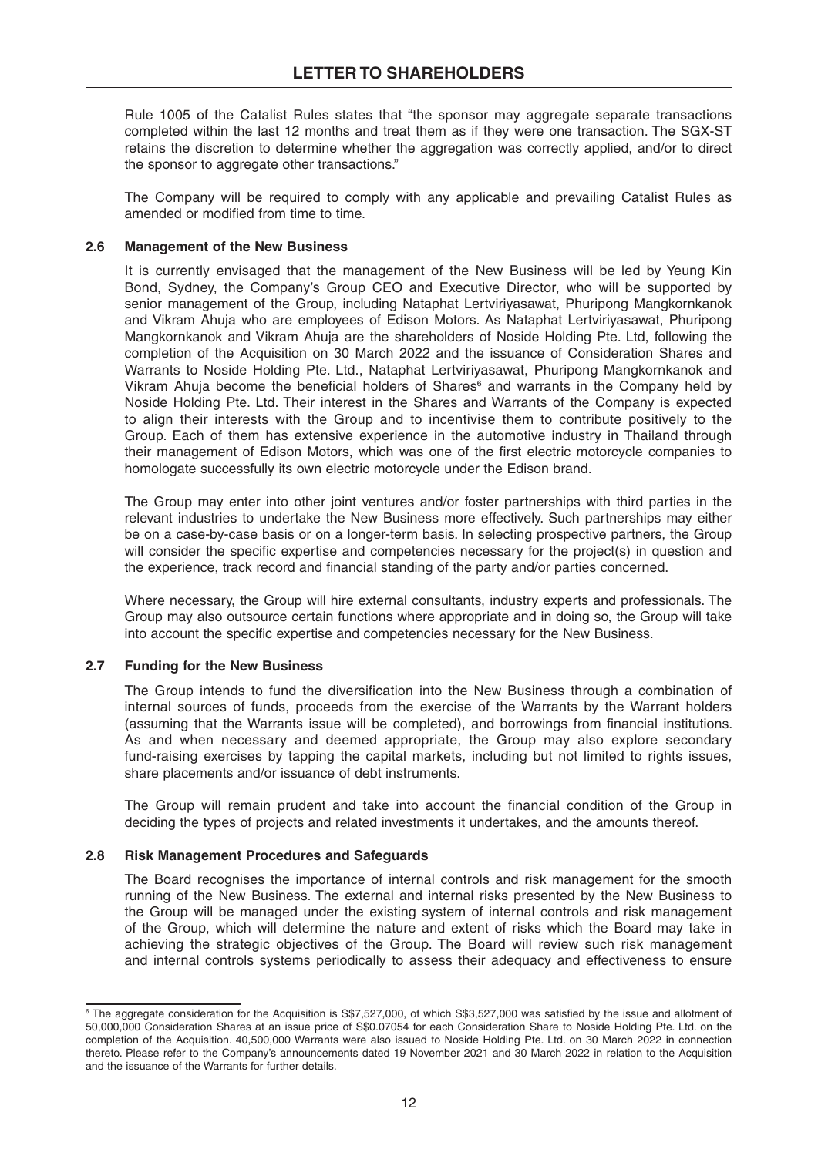Rule 1005 of the Catalist Rules states that "the sponsor may aggregate separate transactions completed within the last 12 months and treat them as if they were one transaction. The SGX-ST retains the discretion to determine whether the aggregation was correctly applied, and/or to direct the sponsor to aggregate other transactions."

 The Company will be required to comply with any applicable and prevailing Catalist Rules as amended or modified from time to time.

#### **2.6 Management of the New Business**

 It is currently envisaged that the management of the New Business will be led by Yeung Kin Bond, Sydney, the Company's Group CEO and Executive Director, who will be supported by senior management of the Group, including Nataphat Lertviriyasawat, Phuripong Mangkornkanok and Vikram Ahuja who are employees of Edison Motors. As Nataphat Lertviriyasawat, Phuripong Mangkornkanok and Vikram Ahuja are the shareholders of Noside Holding Pte. Ltd, following the completion of the Acquisition on 30 March 2022 and the issuance of Consideration Shares and Warrants to Noside Holding Pte. Ltd., Nataphat Lertviriyasawat, Phuripong Mangkornkanok and Vikram Ahuja become the beneficial holders of Shares<sup>6</sup> and warrants in the Company held by Noside Holding Pte. Ltd. Their interest in the Shares and Warrants of the Company is expected to align their interests with the Group and to incentivise them to contribute positively to the Group. Each of them has extensive experience in the automotive industry in Thailand through their management of Edison Motors, which was one of the first electric motorcycle companies to homologate successfully its own electric motorcycle under the Edison brand.

 The Group may enter into other joint ventures and/or foster partnerships with third parties in the relevant industries to undertake the New Business more effectively. Such partnerships may either be on a case-by-case basis or on a longer-term basis. In selecting prospective partners, the Group will consider the specific expertise and competencies necessary for the project(s) in question and the experience, track record and financial standing of the party and/or parties concerned.

 Where necessary, the Group will hire external consultants, industry experts and professionals. The Group may also outsource certain functions where appropriate and in doing so, the Group will take into account the specific expertise and competencies necessary for the New Business.

## **2.7 Funding for the New Business**

The Group intends to fund the diversification into the New Business through a combination of internal sources of funds, proceeds from the exercise of the Warrants by the Warrant holders (assuming that the Warrants issue will be completed), and borrowings from financial institutions. As and when necessary and deemed appropriate, the Group may also explore secondary fund-raising exercises by tapping the capital markets, including but not limited to rights issues, share placements and/or issuance of debt instruments.

The Group will remain prudent and take into account the financial condition of the Group in deciding the types of projects and related investments it undertakes, and the amounts thereof.

#### **2.8 Risk Management Procedures and Safeguards**

 The Board recognises the importance of internal controls and risk management for the smooth running of the New Business. The external and internal risks presented by the New Business to the Group will be managed under the existing system of internal controls and risk management of the Group, which will determine the nature and extent of risks which the Board may take in achieving the strategic objectives of the Group. The Board will review such risk management and internal controls systems periodically to assess their adequacy and effectiveness to ensure

<sup>6</sup> The aggregate consideration for the Acquisition is S\$7,527,000, of which S\$3,527,000 was satisfied by the issue and allotment of 50,000,000 Consideration Shares at an issue price of S\$0.07054 for each Consideration Share to Noside Holding Pte. Ltd. on the completion of the Acquisition. 40,500,000 Warrants were also issued to Noside Holding Pte. Ltd. on 30 March 2022 in connection thereto. Please refer to the Company's announcements dated 19 November 2021 and 30 March 2022 in relation to the Acquisition and the issuance of the Warrants for further details.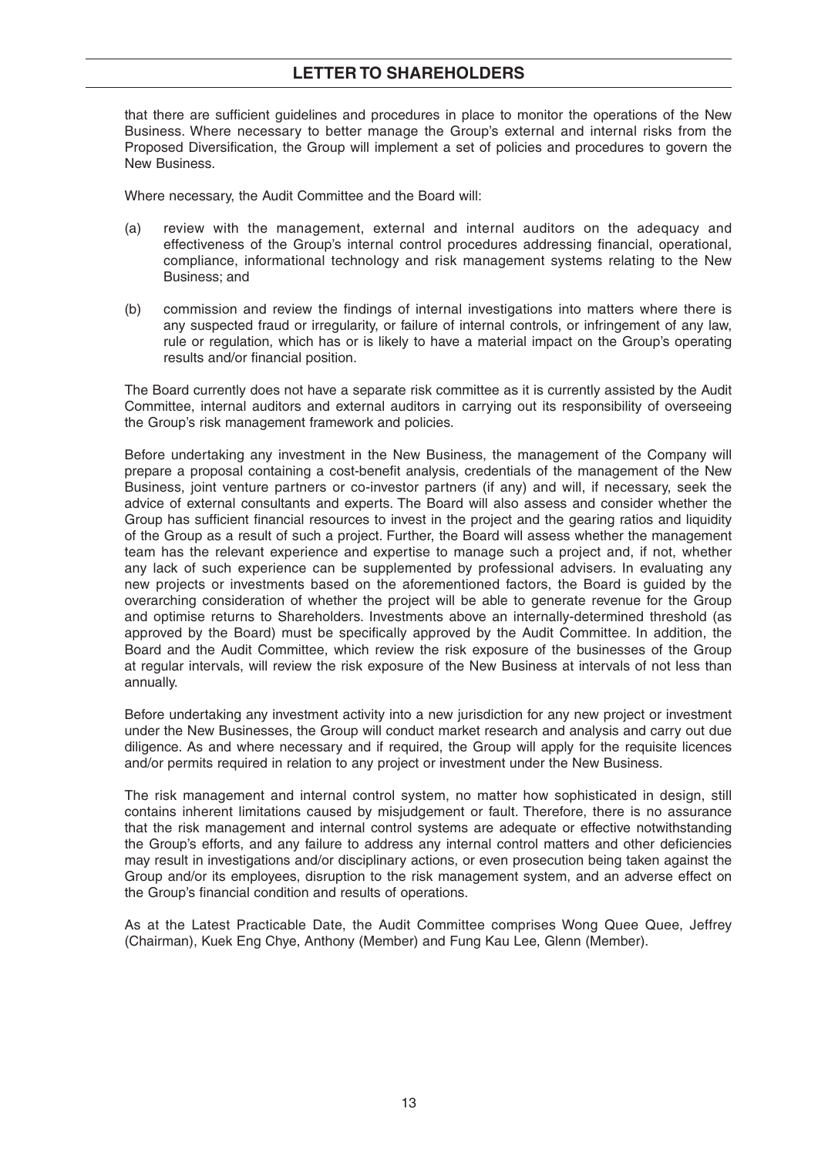that there are sufficient guidelines and procedures in place to monitor the operations of the New Business. Where necessary to better manage the Group's external and internal risks from the Proposed Diversification, the Group will implement a set of policies and procedures to govern the New Business.

Where necessary, the Audit Committee and the Board will:

- (a) review with the management, external and internal auditors on the adequacy and effectiveness of the Group's internal control procedures addressing financial, operational, compliance, informational technology and risk management systems relating to the New Business; and
- (b) commission and review the findings of internal investigations into matters where there is any suspected fraud or irregularity, or failure of internal controls, or infringement of any law, rule or regulation, which has or is likely to have a material impact on the Group's operating results and/or financial position.

 The Board currently does not have a separate risk committee as it is currently assisted by the Audit Committee, internal auditors and external auditors in carrying out its responsibility of overseeing the Group's risk management framework and policies.

 Before undertaking any investment in the New Business, the management of the Company will prepare a proposal containing a cost-benefit analysis, credentials of the management of the New Business, joint venture partners or co-investor partners (if any) and will, if necessary, seek the advice of external consultants and experts. The Board will also assess and consider whether the Group has sufficient financial resources to invest in the project and the gearing ratios and liquidity of the Group as a result of such a project. Further, the Board will assess whether the management team has the relevant experience and expertise to manage such a project and, if not, whether any lack of such experience can be supplemented by professional advisers. In evaluating any new projects or investments based on the aforementioned factors, the Board is guided by the overarching consideration of whether the project will be able to generate revenue for the Group and optimise returns to Shareholders. Investments above an internally-determined threshold (as approved by the Board) must be specifically approved by the Audit Committee. In addition, the Board and the Audit Committee, which review the risk exposure of the businesses of the Group at regular intervals, will review the risk exposure of the New Business at intervals of not less than annually.

 Before undertaking any investment activity into a new jurisdiction for any new project or investment under the New Businesses, the Group will conduct market research and analysis and carry out due diligence. As and where necessary and if required, the Group will apply for the requisite licences and/or permits required in relation to any project or investment under the New Business.

 The risk management and internal control system, no matter how sophisticated in design, still contains inherent limitations caused by misjudgement or fault. Therefore, there is no assurance that the risk management and internal control systems are adequate or effective notwithstanding the Group's efforts, and any failure to address any internal control matters and other deficiencies may result in investigations and/or disciplinary actions, or even prosecution being taken against the Group and/or its employees, disruption to the risk management system, and an adverse effect on the Group's financial condition and results of operations.

 As at the Latest Practicable Date, the Audit Committee comprises Wong Quee Quee, Jeffrey (Chairman), Kuek Eng Chye, Anthony (Member) and Fung Kau Lee, Glenn (Member).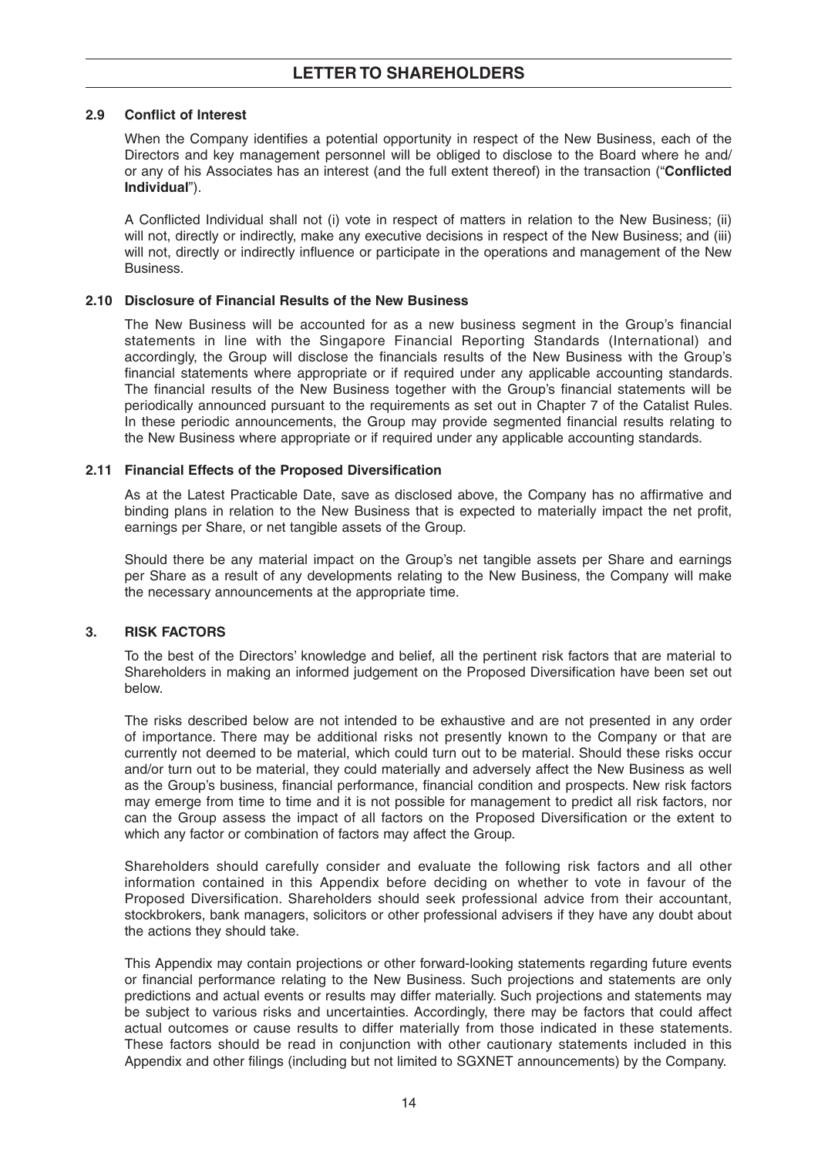## **2.9 Conflict of Interest**

When the Company identifies a potential opportunity in respect of the New Business, each of the Directors and key management personnel will be obliged to disclose to the Board where he and/ or any of his Associates has an interest (and the full extent thereof) in the transaction ("Conflicted **Individual**").

A Conflicted Individual shall not (i) vote in respect of matters in relation to the New Business; (ii) will not, directly or indirectly, make any executive decisions in respect of the New Business; and (iii) will not, directly or indirectly influence or participate in the operations and management of the New **Business** 

#### **2.10 Disclosure of Financial Results of the New Business**

The New Business will be accounted for as a new business segment in the Group's financial statements in line with the Singapore Financial Reporting Standards (International) and accordingly, the Group will disclose the financials results of the New Business with the Group's financial statements where appropriate or if required under any applicable accounting standards. The financial results of the New Business together with the Group's financial statements will be periodically announced pursuant to the requirements as set out in Chapter 7 of the Catalist Rules. In these periodic announcements, the Group may provide segmented financial results relating to the New Business where appropriate or if required under any applicable accounting standards.

#### **2.11 Financial Effects of the Proposed Diversification**

As at the Latest Practicable Date, save as disclosed above, the Company has no affirmative and binding plans in relation to the New Business that is expected to materially impact the net profit, earnings per Share, or net tangible assets of the Group.

 Should there be any material impact on the Group's net tangible assets per Share and earnings per Share as a result of any developments relating to the New Business, the Company will make the necessary announcements at the appropriate time.

## **3. RISK FACTORS**

 To the best of the Directors' knowledge and belief, all the pertinent risk factors that are material to Shareholders in making an informed judgement on the Proposed Diversification have been set out below.

 The risks described below are not intended to be exhaustive and are not presented in any order of importance. There may be additional risks not presently known to the Company or that are currently not deemed to be material, which could turn out to be material. Should these risks occur and/or turn out to be material, they could materially and adversely affect the New Business as well as the Group's business, financial performance, financial condition and prospects. New risk factors may emerge from time to time and it is not possible for management to predict all risk factors, nor can the Group assess the impact of all factors on the Proposed Diversification or the extent to which any factor or combination of factors may affect the Group.

 Shareholders should carefully consider and evaluate the following risk factors and all other information contained in this Appendix before deciding on whether to vote in favour of the Proposed Diversification. Shareholders should seek professional advice from their accountant, stockbrokers, bank managers, solicitors or other professional advisers if they have any doubt about the actions they should take.

 This Appendix may contain projections or other forward-looking statements regarding future events or financial performance relating to the New Business. Such projections and statements are only predictions and actual events or results may differ materially. Such projections and statements may be subject to various risks and uncertainties. Accordingly, there may be factors that could affect actual outcomes or cause results to differ materially from those indicated in these statements. These factors should be read in conjunction with other cautionary statements included in this Appendix and other filings (including but not limited to SGXNET announcements) by the Company.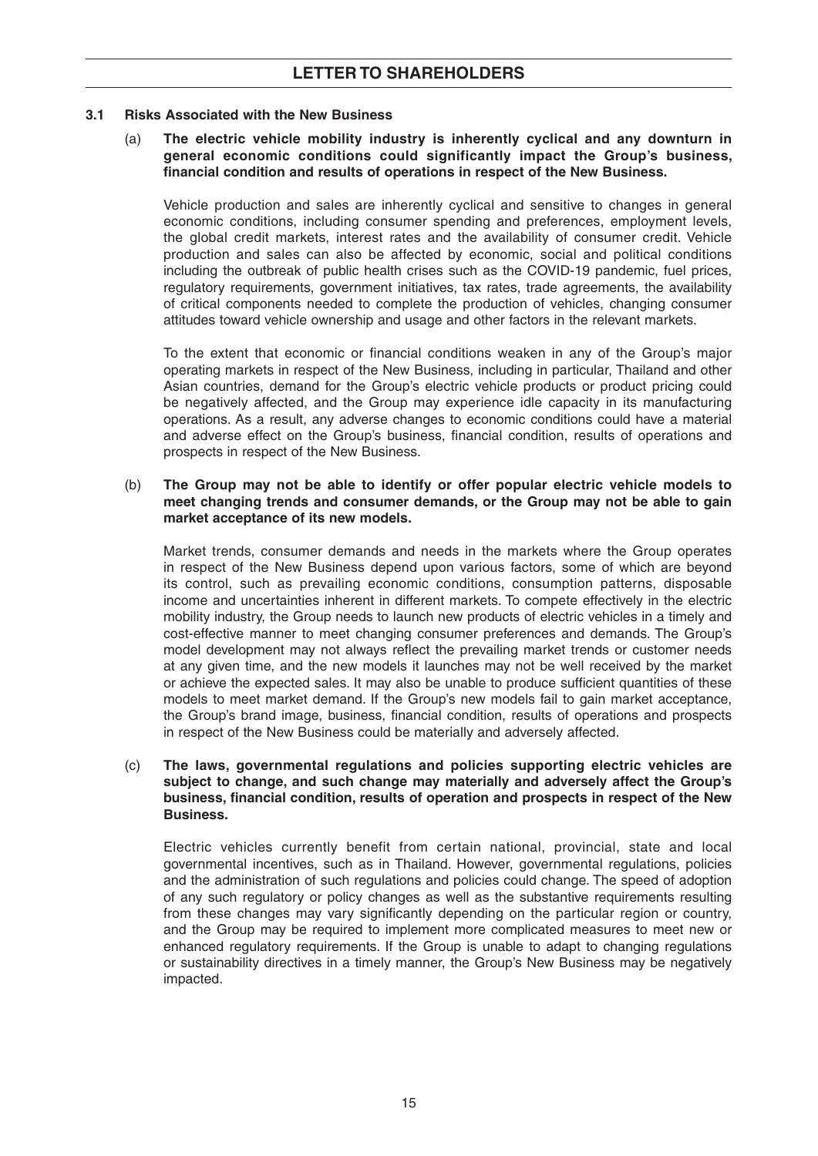#### **3.1 Risks Associated with the New Business**

### (a) **The electric vehicle mobility industry is inherently cyclical and any downturn in general economic conditions could significantly impact the Group's business,**  financial condition and results of operations in respect of the New Business.

 Vehicle production and sales are inherently cyclical and sensitive to changes in general economic conditions, including consumer spending and preferences, employment levels, the global credit markets, interest rates and the availability of consumer credit. Vehicle production and sales can also be affected by economic, social and political conditions including the outbreak of public health crises such as the COVID-19 pandemic, fuel prices, regulatory requirements, government initiatives, tax rates, trade agreements, the availability of critical components needed to complete the production of vehicles, changing consumer attitudes toward vehicle ownership and usage and other factors in the relevant markets.

To the extent that economic or financial conditions weaken in any of the Group's major operating markets in respect of the New Business, including in particular, Thailand and other Asian countries, demand for the Group's electric vehicle products or product pricing could be negatively affected, and the Group may experience idle capacity in its manufacturing operations. As a result, any adverse changes to economic conditions could have a material and adverse effect on the Group's business, financial condition, results of operations and prospects in respect of the New Business.

#### (b) **The Group may not be able to identify or offer popular electric vehicle models to meet changing trends and consumer demands, or the Group may not be able to gain market acceptance of its new models.**

 Market trends, consumer demands and needs in the markets where the Group operates in respect of the New Business depend upon various factors, some of which are beyond its control, such as prevailing economic conditions, consumption patterns, disposable income and uncertainties inherent in different markets. To compete effectively in the electric mobility industry, the Group needs to launch new products of electric vehicles in a timely and cost-effective manner to meet changing consumer preferences and demands. The Group's model development may not always reflect the prevailing market trends or customer needs at any given time, and the new models it launches may not be well received by the market or achieve the expected sales. It may also be unable to produce sufficient quantities of these models to meet market demand. If the Group's new models fail to gain market acceptance, the Group's brand image, business, financial condition, results of operations and prospects in respect of the New Business could be materially and adversely affected.

#### (c) **The laws, governmental regulations and policies supporting electric vehicles are subject to change, and such change may materially and adversely affect the Group's business, fi nancial condition, results of operation and prospects in respect of the New Business.**

 Electric vehicles currently benefit from certain national, provincial, state and local governmental incentives, such as in Thailand. However, governmental regulations, policies and the administration of such regulations and policies could change. The speed of adoption of any such regulatory or policy changes as well as the substantive requirements resulting from these changes may vary significantly depending on the particular region or country, and the Group may be required to implement more complicated measures to meet new or enhanced regulatory requirements. If the Group is unable to adapt to changing regulations or sustainability directives in a timely manner, the Group's New Business may be negatively impacted.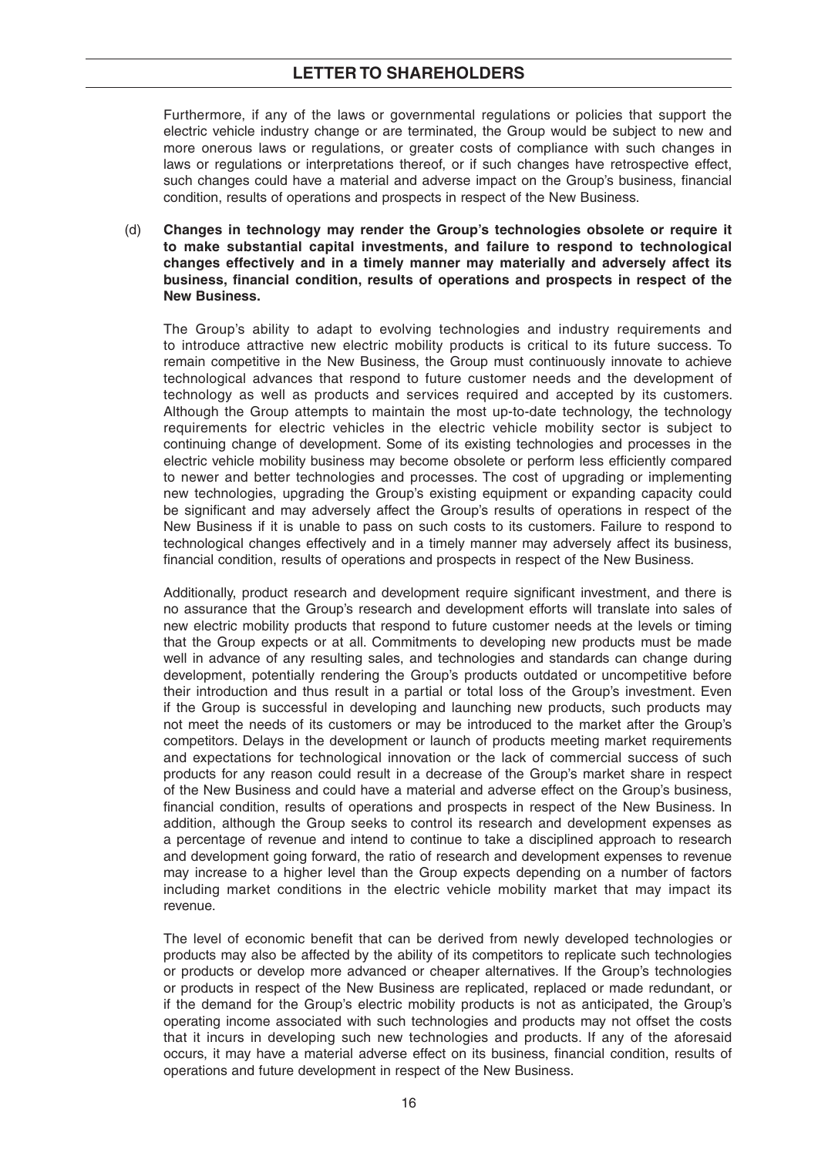Furthermore, if any of the laws or governmental regulations or policies that support the electric vehicle industry change or are terminated, the Group would be subject to new and more onerous laws or regulations, or greater costs of compliance with such changes in laws or regulations or interpretations thereof, or if such changes have retrospective effect, such changes could have a material and adverse impact on the Group's business, financial condition, results of operations and prospects in respect of the New Business.

 (d) **Changes in technology may render the Group's technologies obsolete or require it to make substantial capital investments, and failure to respond to technological changes effectively and in a timely manner may materially and adversely affect its**  business, financial condition, results of operations and prospects in respect of the **New Business.**

 The Group's ability to adapt to evolving technologies and industry requirements and to introduce attractive new electric mobility products is critical to its future success. To remain competitive in the New Business, the Group must continuously innovate to achieve technological advances that respond to future customer needs and the development of technology as well as products and services required and accepted by its customers. Although the Group attempts to maintain the most up-to-date technology, the technology requirements for electric vehicles in the electric vehicle mobility sector is subject to continuing change of development. Some of its existing technologies and processes in the electric vehicle mobility business may become obsolete or perform less efficiently compared to newer and better technologies and processes. The cost of upgrading or implementing new technologies, upgrading the Group's existing equipment or expanding capacity could be significant and may adversely affect the Group's results of operations in respect of the New Business if it is unable to pass on such costs to its customers. Failure to respond to technological changes effectively and in a timely manner may adversely affect its business, financial condition, results of operations and prospects in respect of the New Business.

Additionally, product research and development require significant investment, and there is no assurance that the Group's research and development efforts will translate into sales of new electric mobility products that respond to future customer needs at the levels or timing that the Group expects or at all. Commitments to developing new products must be made well in advance of any resulting sales, and technologies and standards can change during development, potentially rendering the Group's products outdated or uncompetitive before their introduction and thus result in a partial or total loss of the Group's investment. Even if the Group is successful in developing and launching new products, such products may not meet the needs of its customers or may be introduced to the market after the Group's competitors. Delays in the development or launch of products meeting market requirements and expectations for technological innovation or the lack of commercial success of such products for any reason could result in a decrease of the Group's market share in respect of the New Business and could have a material and adverse effect on the Group's business, financial condition, results of operations and prospects in respect of the New Business, In addition, although the Group seeks to control its research and development expenses as a percentage of revenue and intend to continue to take a disciplined approach to research and development going forward, the ratio of research and development expenses to revenue may increase to a higher level than the Group expects depending on a number of factors including market conditions in the electric vehicle mobility market that may impact its revenue.

The level of economic benefit that can be derived from newly developed technologies or products may also be affected by the ability of its competitors to replicate such technologies or products or develop more advanced or cheaper alternatives. If the Group's technologies or products in respect of the New Business are replicated, replaced or made redundant, or if the demand for the Group's electric mobility products is not as anticipated, the Group's operating income associated with such technologies and products may not offset the costs that it incurs in developing such new technologies and products. If any of the aforesaid occurs, it may have a material adverse effect on its business, financial condition, results of operations and future development in respect of the New Business.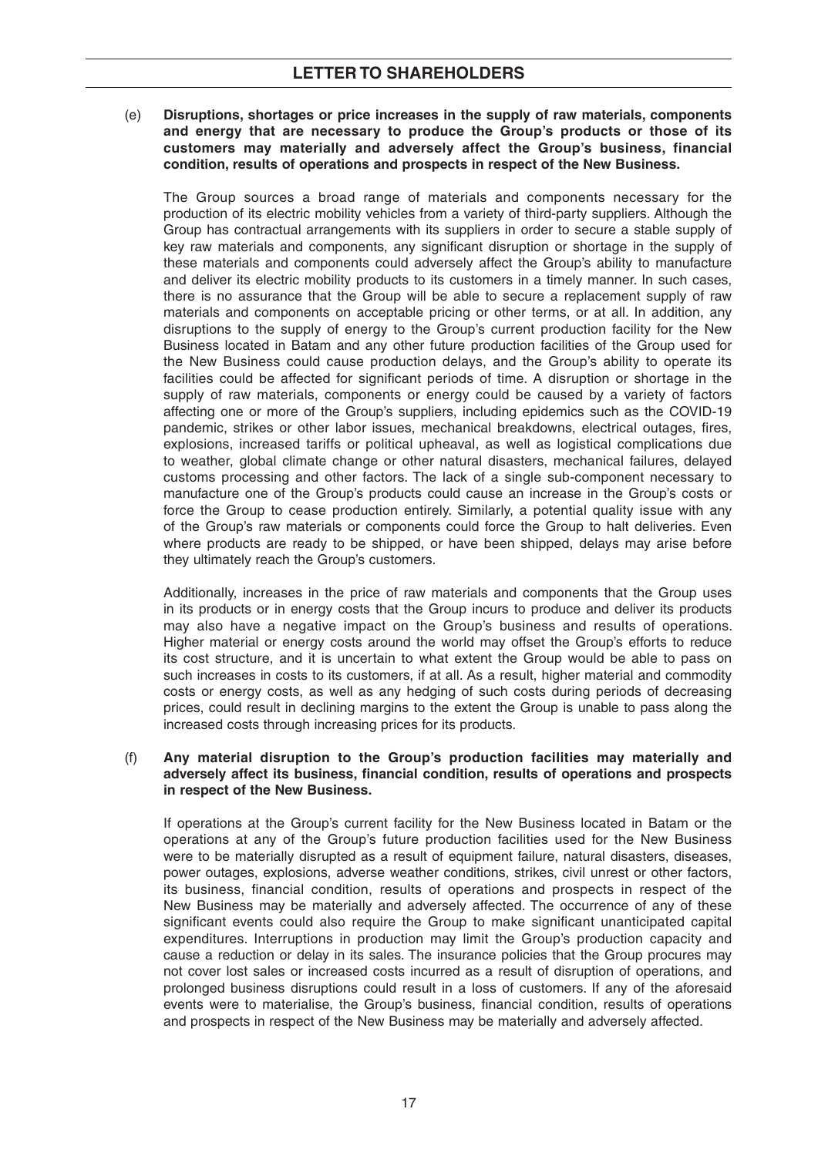(e) **Disruptions, shortages or price increases in the supply of raw materials, components and energy that are necessary to produce the Group's products or those of its customers may materially and adversely affect the Group's business, financial condition, results of operations and prospects in respect of the New Business.**

 The Group sources a broad range of materials and components necessary for the production of its electric mobility vehicles from a variety of third-party suppliers. Although the Group has contractual arrangements with its suppliers in order to secure a stable supply of key raw materials and components, any significant disruption or shortage in the supply of these materials and components could adversely affect the Group's ability to manufacture and deliver its electric mobility products to its customers in a timely manner. In such cases, there is no assurance that the Group will be able to secure a replacement supply of raw materials and components on acceptable pricing or other terms, or at all. In addition, any disruptions to the supply of energy to the Group's current production facility for the New Business located in Batam and any other future production facilities of the Group used for the New Business could cause production delays, and the Group's ability to operate its facilities could be affected for significant periods of time. A disruption or shortage in the supply of raw materials, components or energy could be caused by a variety of factors affecting one or more of the Group's suppliers, including epidemics such as the COVID-19 pandemic, strikes or other labor issues, mechanical breakdowns, electrical outages, fires, explosions, increased tariffs or political upheaval, as well as logistical complications due to weather, global climate change or other natural disasters, mechanical failures, delayed customs processing and other factors. The lack of a single sub-component necessary to manufacture one of the Group's products could cause an increase in the Group's costs or force the Group to cease production entirely. Similarly, a potential quality issue with any of the Group's raw materials or components could force the Group to halt deliveries. Even where products are ready to be shipped, or have been shipped, delays may arise before they ultimately reach the Group's customers.

 Additionally, increases in the price of raw materials and components that the Group uses in its products or in energy costs that the Group incurs to produce and deliver its products may also have a negative impact on the Group's business and results of operations. Higher material or energy costs around the world may offset the Group's efforts to reduce its cost structure, and it is uncertain to what extent the Group would be able to pass on such increases in costs to its customers, if at all. As a result, higher material and commodity costs or energy costs, as well as any hedging of such costs during periods of decreasing prices, could result in declining margins to the extent the Group is unable to pass along the increased costs through increasing prices for its products.

#### (f) **Any material disruption to the Group's production facilities may materially and**  adversely affect its business, financial condition, results of operations and prospects **in respect of the New Business.**

 If operations at the Group's current facility for the New Business located in Batam or the operations at any of the Group's future production facilities used for the New Business were to be materially disrupted as a result of equipment failure, natural disasters, diseases, power outages, explosions, adverse weather conditions, strikes, civil unrest or other factors, its business, financial condition, results of operations and prospects in respect of the New Business may be materially and adversely affected. The occurrence of any of these significant events could also require the Group to make significant unanticipated capital expenditures. Interruptions in production may limit the Group's production capacity and cause a reduction or delay in its sales. The insurance policies that the Group procures may not cover lost sales or increased costs incurred as a result of disruption of operations, and prolonged business disruptions could result in a loss of customers. If any of the aforesaid events were to materialise, the Group's business, financial condition, results of operations and prospects in respect of the New Business may be materially and adversely affected.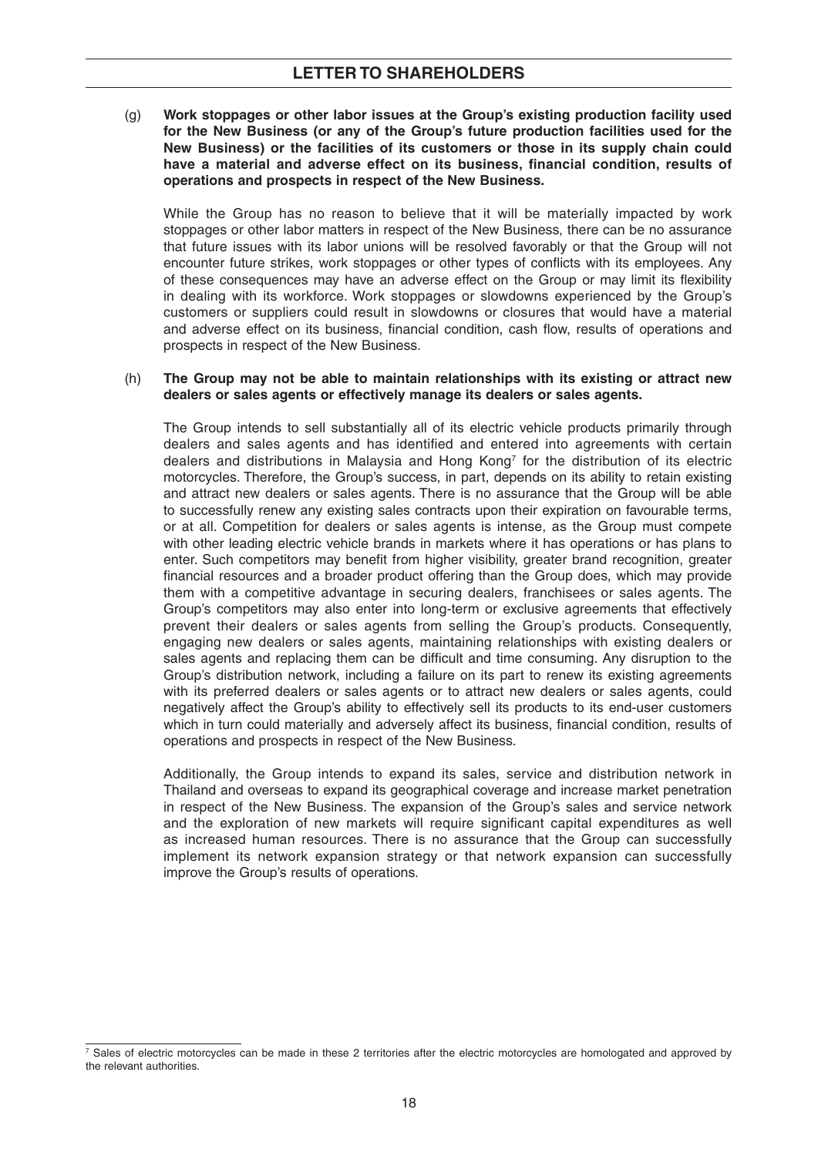(g) **Work stoppages or other labor issues at the Group's existing production facility used for the New Business (or any of the Group's future production facilities used for the New Business) or the facilities of its customers or those in its supply chain could**  have a material and adverse effect on its business, financial condition, results of **operations and prospects in respect of the New Business.**

 While the Group has no reason to believe that it will be materially impacted by work stoppages or other labor matters in respect of the New Business, there can be no assurance that future issues with its labor unions will be resolved favorably or that the Group will not encounter future strikes, work stoppages or other types of conflicts with its employees. Any of these consequences may have an adverse effect on the Group or may limit its flexibility in dealing with its workforce. Work stoppages or slowdowns experienced by the Group's customers or suppliers could result in slowdowns or closures that would have a material and adverse effect on its business, financial condition, cash flow, results of operations and prospects in respect of the New Business.

#### (h) **The Group may not be able to maintain relationships with its existing or attract new dealers or sales agents or effectively manage its dealers or sales agents.**

 The Group intends to sell substantially all of its electric vehicle products primarily through dealers and sales agents and has identified and entered into agreements with certain dealers and distributions in Malaysia and Hong Kong7 for the distribution of its electric motorcycles. Therefore, the Group's success, in part, depends on its ability to retain existing and attract new dealers or sales agents. There is no assurance that the Group will be able to successfully renew any existing sales contracts upon their expiration on favourable terms, or at all. Competition for dealers or sales agents is intense, as the Group must compete with other leading electric vehicle brands in markets where it has operations or has plans to enter. Such competitors may benefit from higher visibility, greater brand recognition, greater financial resources and a broader product offering than the Group does, which may provide them with a competitive advantage in securing dealers, franchisees or sales agents. The Group's competitors may also enter into long-term or exclusive agreements that effectively prevent their dealers or sales agents from selling the Group's products. Consequently, engaging new dealers or sales agents, maintaining relationships with existing dealers or sales agents and replacing them can be difficult and time consuming. Any disruption to the Group's distribution network, including a failure on its part to renew its existing agreements with its preferred dealers or sales agents or to attract new dealers or sales agents, could negatively affect the Group's ability to effectively sell its products to its end-user customers which in turn could materially and adversely affect its business, financial condition, results of operations and prospects in respect of the New Business.

 Additionally, the Group intends to expand its sales, service and distribution network in Thailand and overseas to expand its geographical coverage and increase market penetration in respect of the New Business. The expansion of the Group's sales and service network and the exploration of new markets will require significant capital expenditures as well as increased human resources. There is no assurance that the Group can successfully implement its network expansion strategy or that network expansion can successfully improve the Group's results of operations.

<sup>&</sup>lt;sup>7</sup> Sales of electric motorcycles can be made in these 2 territories after the electric motorcycles are homologated and approved by the relevant authorities.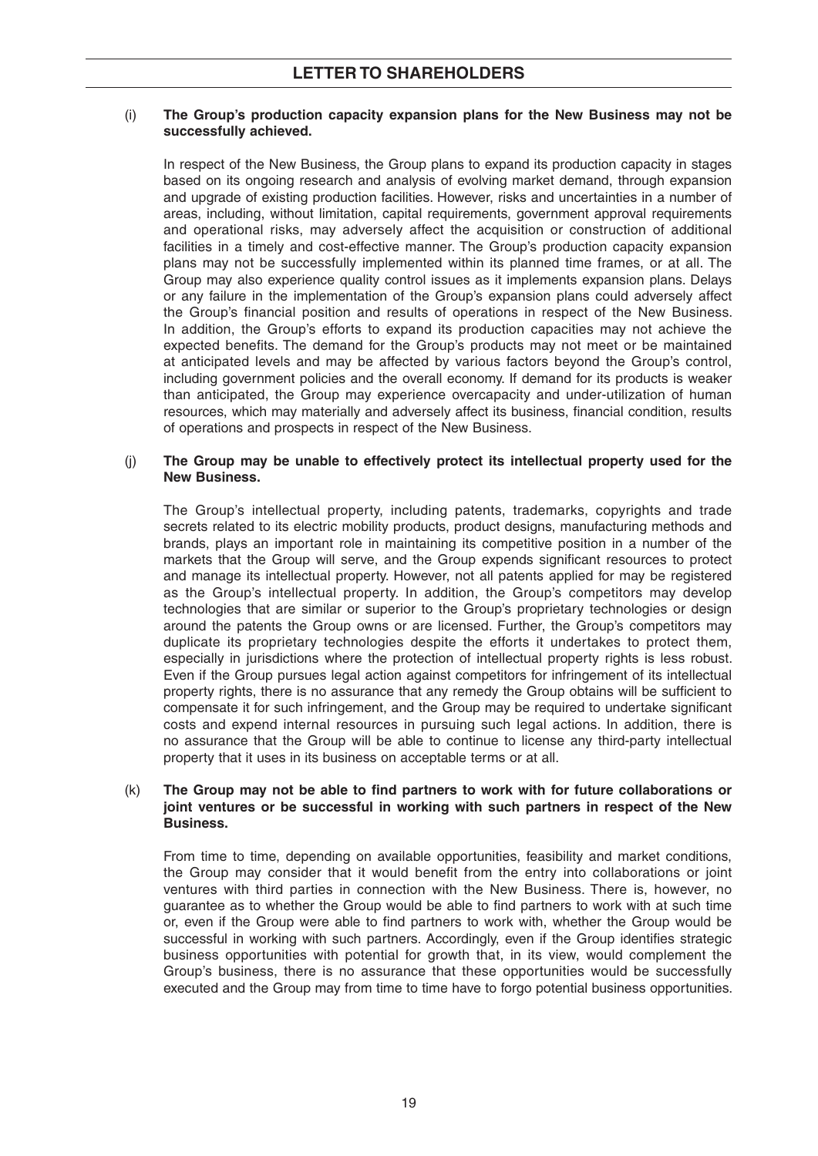### (i) **The Group's production capacity expansion plans for the New Business may not be successfully achieved.**

 In respect of the New Business, the Group plans to expand its production capacity in stages based on its ongoing research and analysis of evolving market demand, through expansion and upgrade of existing production facilities. However, risks and uncertainties in a number of areas, including, without limitation, capital requirements, government approval requirements and operational risks, may adversely affect the acquisition or construction of additional facilities in a timely and cost-effective manner. The Group's production capacity expansion plans may not be successfully implemented within its planned time frames, or at all. The Group may also experience quality control issues as it implements expansion plans. Delays or any failure in the implementation of the Group's expansion plans could adversely affect the Group's financial position and results of operations in respect of the New Business. In addition, the Group's efforts to expand its production capacities may not achieve the expected benefits. The demand for the Group's products may not meet or be maintained at anticipated levels and may be affected by various factors beyond the Group's control, including government policies and the overall economy. If demand for its products is weaker than anticipated, the Group may experience overcapacity and under-utilization of human resources, which may materially and adversely affect its business, financial condition, results of operations and prospects in respect of the New Business.

#### (j) **The Group may be unable to effectively protect its intellectual property used for the New Business.**

 The Group's intellectual property, including patents, trademarks, copyrights and trade secrets related to its electric mobility products, product designs, manufacturing methods and brands, plays an important role in maintaining its competitive position in a number of the markets that the Group will serve, and the Group expends significant resources to protect and manage its intellectual property. However, not all patents applied for may be registered as the Group's intellectual property. In addition, the Group's competitors may develop technologies that are similar or superior to the Group's proprietary technologies or design around the patents the Group owns or are licensed. Further, the Group's competitors may duplicate its proprietary technologies despite the efforts it undertakes to protect them, especially in jurisdictions where the protection of intellectual property rights is less robust. Even if the Group pursues legal action against competitors for infringement of its intellectual property rights, there is no assurance that any remedy the Group obtains will be sufficient to compensate it for such infringement, and the Group may be required to undertake significant costs and expend internal resources in pursuing such legal actions. In addition, there is no assurance that the Group will be able to continue to license any third-party intellectual property that it uses in its business on acceptable terms or at all.

#### (k) The Group may not be able to find partners to work with for future collaborations or **joint ventures or be successful in working with such partners in respect of the New Business.**

 From time to time, depending on available opportunities, feasibility and market conditions, the Group may consider that it would benefit from the entry into collaborations or joint ventures with third parties in connection with the New Business. There is, however, no guarantee as to whether the Group would be able to find partners to work with at such time or, even if the Group were able to find partners to work with, whether the Group would be successful in working with such partners. Accordingly, even if the Group identifies strategic business opportunities with potential for growth that, in its view, would complement the Group's business, there is no assurance that these opportunities would be successfully executed and the Group may from time to time have to forgo potential business opportunities.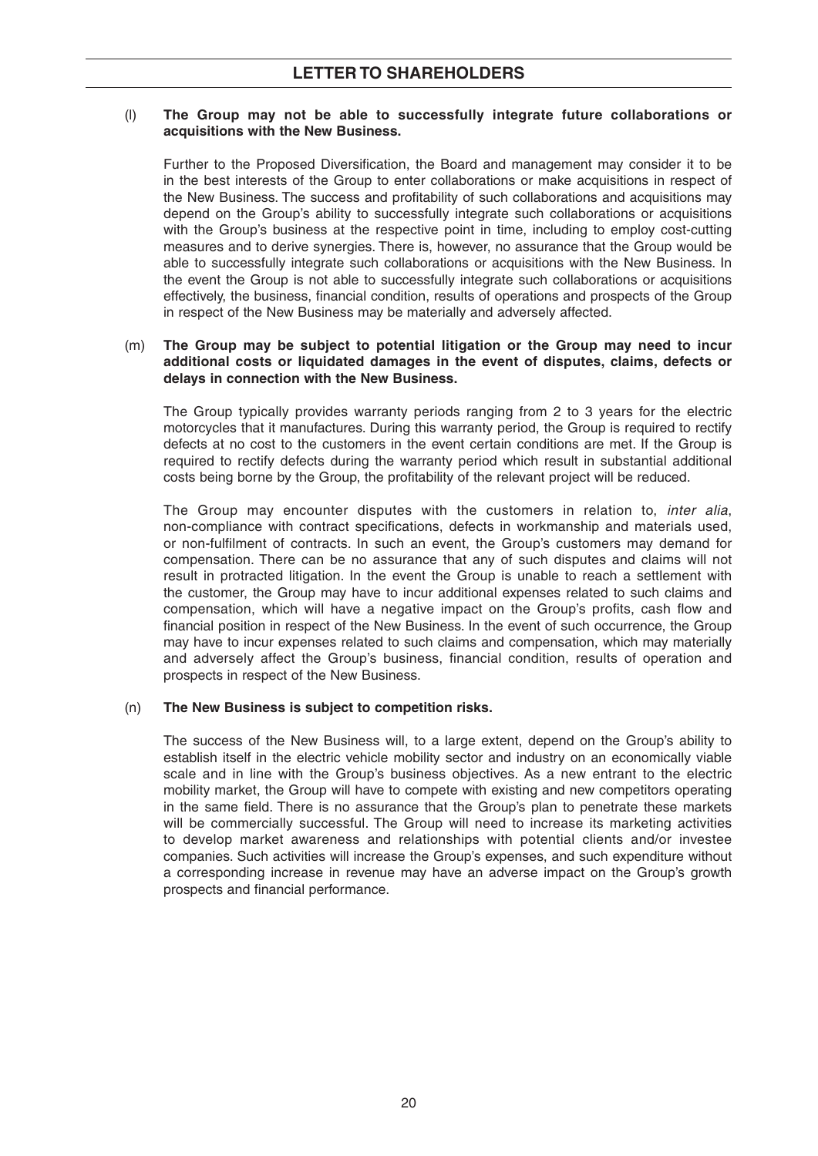### (l) **The Group may not be able to successfully integrate future collaborations or acquisitions with the New Business.**

Further to the Proposed Diversification, the Board and management may consider it to be in the best interests of the Group to enter collaborations or make acquisitions in respect of the New Business. The success and profitability of such collaborations and acquisitions may depend on the Group's ability to successfully integrate such collaborations or acquisitions with the Group's business at the respective point in time, including to employ cost-cutting measures and to derive synergies. There is, however, no assurance that the Group would be able to successfully integrate such collaborations or acquisitions with the New Business. In the event the Group is not able to successfully integrate such collaborations or acquisitions effectively, the business, financial condition, results of operations and prospects of the Group in respect of the New Business may be materially and adversely affected.

#### (m) **The Group may be subject to potential litigation or the Group may need to incur additional costs or liquidated damages in the event of disputes, claims, defects or delays in connection with the New Business.**

 The Group typically provides warranty periods ranging from 2 to 3 years for the electric motorcycles that it manufactures. During this warranty period, the Group is required to rectify defects at no cost to the customers in the event certain conditions are met. If the Group is required to rectify defects during the warranty period which result in substantial additional costs being borne by the Group, the profitability of the relevant project will be reduced.

 The Group may encounter disputes with the customers in relation to, *inter alia*, non-compliance with contract specifications, defects in workmanship and materials used, or non-fulfilment of contracts. In such an event, the Group's customers may demand for compensation. There can be no assurance that any of such disputes and claims will not result in protracted litigation. In the event the Group is unable to reach a settlement with the customer, the Group may have to incur additional expenses related to such claims and compensation, which will have a negative impact on the Group's profits, cash flow and financial position in respect of the New Business. In the event of such occurrence, the Group may have to incur expenses related to such claims and compensation, which may materially and adversely affect the Group's business, financial condition, results of operation and prospects in respect of the New Business.

## (n) **The New Business is subject to competition risks.**

 The success of the New Business will, to a large extent, depend on the Group's ability to establish itself in the electric vehicle mobility sector and industry on an economically viable scale and in line with the Group's business objectives. As a new entrant to the electric mobility market, the Group will have to compete with existing and new competitors operating in the same field. There is no assurance that the Group's plan to penetrate these markets will be commercially successful. The Group will need to increase its marketing activities to develop market awareness and relationships with potential clients and/or investee companies. Such activities will increase the Group's expenses, and such expenditure without a corresponding increase in revenue may have an adverse impact on the Group's growth prospects and financial performance.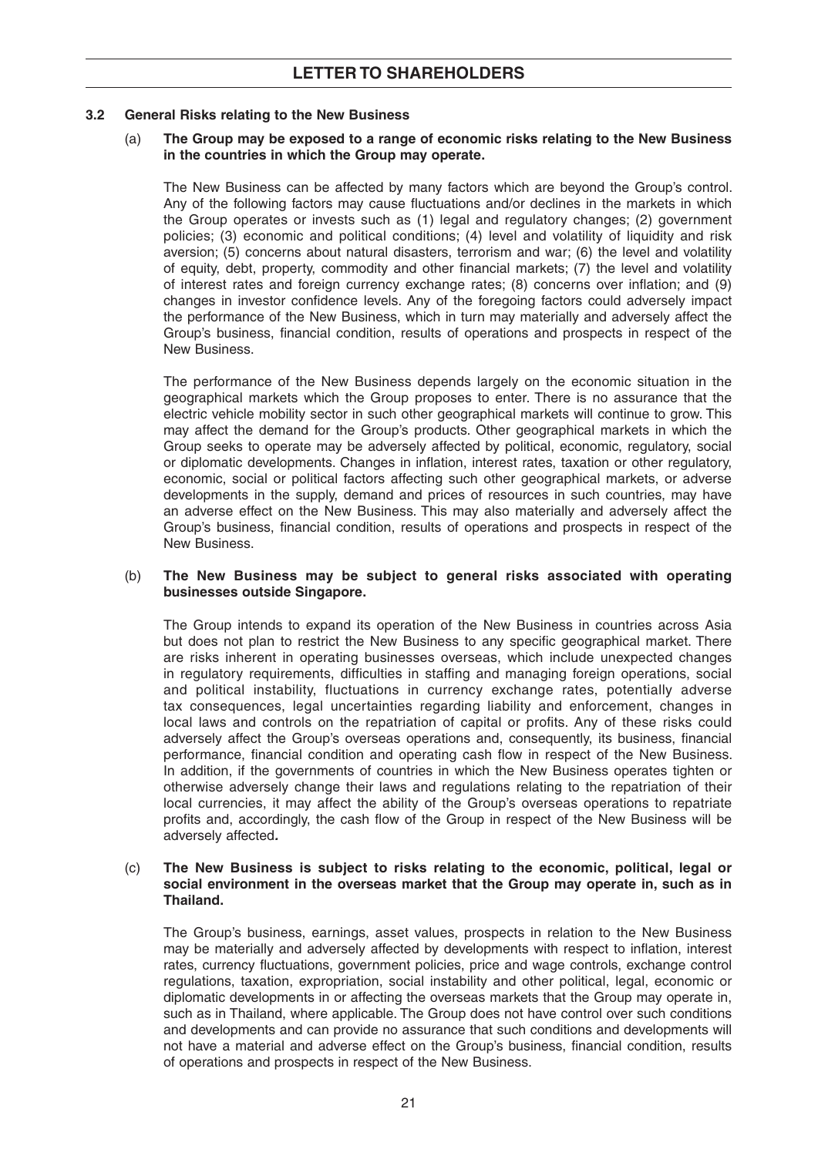## **3.2 General Risks relating to the New Business**

#### (a) **The Group may be exposed to a range of economic risks relating to the New Business in the countries in which the Group may operate.**

 The New Business can be affected by many factors which are beyond the Group's control. Any of the following factors may cause fluctuations and/or declines in the markets in which the Group operates or invests such as (1) legal and regulatory changes; (2) government policies; (3) economic and political conditions; (4) level and volatility of liquidity and risk aversion; (5) concerns about natural disasters, terrorism and war; (6) the level and volatility of equity, debt, property, commodity and other financial markets; (7) the level and volatility of interest rates and foreign currency exchange rates;  $(8)$  concerns over inflation; and  $(9)$ changes in investor confidence levels. Any of the foregoing factors could adversely impact the performance of the New Business, which in turn may materially and adversely affect the Group's business, financial condition, results of operations and prospects in respect of the New Business.

 The performance of the New Business depends largely on the economic situation in the geographical markets which the Group proposes to enter. There is no assurance that the electric vehicle mobility sector in such other geographical markets will continue to grow. This may affect the demand for the Group's products. Other geographical markets in which the Group seeks to operate may be adversely affected by political, economic, regulatory, social or diplomatic developments. Changes in inflation, interest rates, taxation or other regulatory, economic, social or political factors affecting such other geographical markets, or adverse developments in the supply, demand and prices of resources in such countries, may have an adverse effect on the New Business. This may also materially and adversely affect the Group's business, financial condition, results of operations and prospects in respect of the New Business.

#### (b) **The New Business may be subject to general risks associated with operating businesses outside Singapore.**

 The Group intends to expand its operation of the New Business in countries across Asia but does not plan to restrict the New Business to any specific geographical market. There are risks inherent in operating businesses overseas, which include unexpected changes in regulatory requirements, difficulties in staffing and managing foreign operations, social and political instability, fluctuations in currency exchange rates, potentially adverse tax consequences, legal uncertainties regarding liability and enforcement, changes in local laws and controls on the repatriation of capital or profits. Any of these risks could adversely affect the Group's overseas operations and, consequently, its business, financial performance, financial condition and operating cash flow in respect of the New Business. In addition, if the governments of countries in which the New Business operates tighten or otherwise adversely change their laws and regulations relating to the repatriation of their local currencies, it may affect the ability of the Group's overseas operations to repatriate profits and, accordingly, the cash flow of the Group in respect of the New Business will be adversely affected*.*

#### (c) **The New Business is subject to risks relating to the economic, political, legal or social environment in the overseas market that the Group may operate in, such as in Thailand.**

 The Group's business, earnings, asset values, prospects in relation to the New Business may be materially and adversely affected by developments with respect to inflation, interest rates, currency fluctuations, government policies, price and wage controls, exchange control regulations, taxation, expropriation, social instability and other political, legal, economic or diplomatic developments in or affecting the overseas markets that the Group may operate in, such as in Thailand, where applicable. The Group does not have control over such conditions and developments and can provide no assurance that such conditions and developments will not have a material and adverse effect on the Group's business, financial condition, results of operations and prospects in respect of the New Business.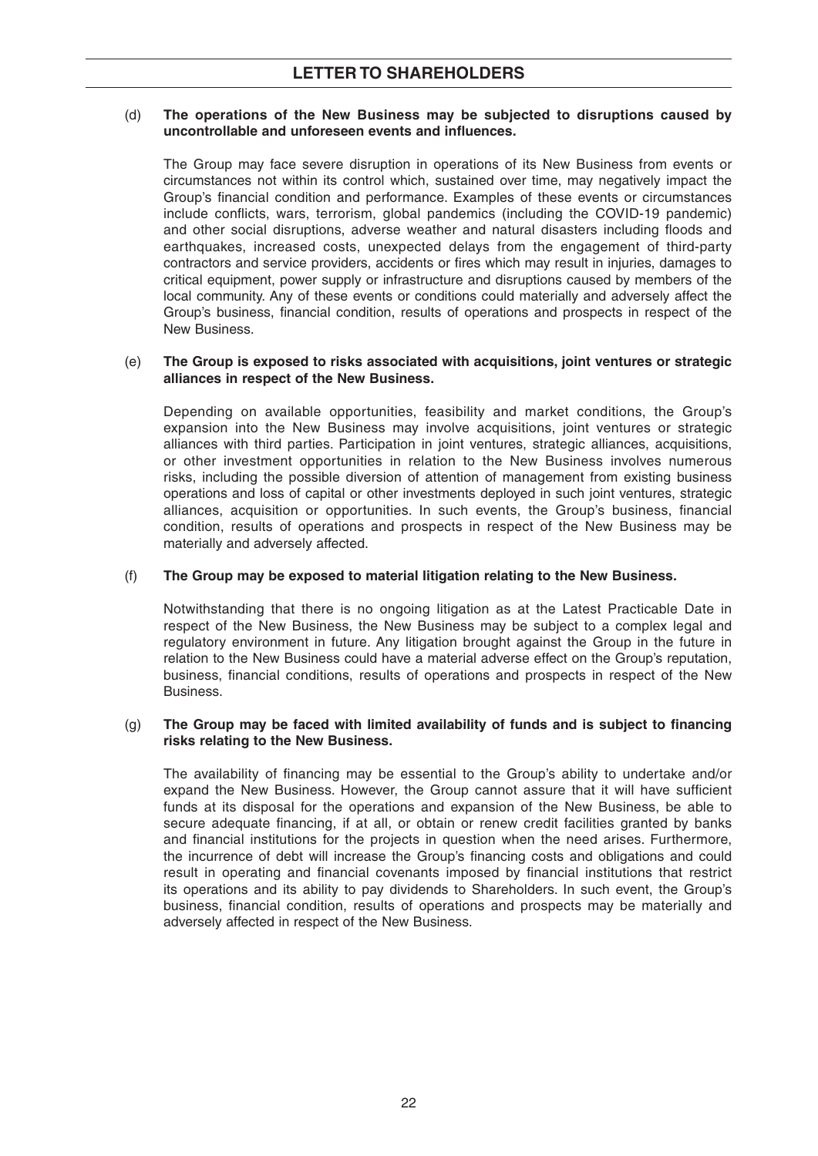#### (d) **The operations of the New Business may be subjected to disruptions caused by**  uncontrollable and unforeseen events and influences.

 The Group may face severe disruption in operations of its New Business from events or circumstances not within its control which, sustained over time, may negatively impact the Group's financial condition and performance. Examples of these events or circumstances include conflicts, wars, terrorism, global pandemics (including the COVID-19 pandemic) and other social disruptions, adverse weather and natural disasters including floods and earthquakes, increased costs, unexpected delays from the engagement of third-party contractors and service providers, accidents or fires which may result in injuries, damages to critical equipment, power supply or infrastructure and disruptions caused by members of the local community. Any of these events or conditions could materially and adversely affect the Group's business, financial condition, results of operations and prospects in respect of the New Business.

#### (e) **The Group is exposed to risks associated with acquisitions, joint ventures or strategic alliances in respect of the New Business.**

 Depending on available opportunities, feasibility and market conditions, the Group's expansion into the New Business may involve acquisitions, joint ventures or strategic alliances with third parties. Participation in joint ventures, strategic alliances, acquisitions, or other investment opportunities in relation to the New Business involves numerous risks, including the possible diversion of attention of management from existing business operations and loss of capital or other investments deployed in such joint ventures, strategic alliances, acquisition or opportunities. In such events, the Group's business, financial condition, results of operations and prospects in respect of the New Business may be materially and adversely affected.

## (f) **The Group may be exposed to material litigation relating to the New Business.**

 Notwithstanding that there is no ongoing litigation as at the Latest Practicable Date in respect of the New Business, the New Business may be subject to a complex legal and regulatory environment in future. Any litigation brought against the Group in the future in relation to the New Business could have a material adverse effect on the Group's reputation, business, financial conditions, results of operations and prospects in respect of the New Business.

#### (g) **The Group may be faced with limited availability of funds and is subject to financing risks relating to the New Business.**

The availability of financing may be essential to the Group's ability to undertake and/or expand the New Business. However, the Group cannot assure that it will have sufficient funds at its disposal for the operations and expansion of the New Business, be able to secure adequate financing, if at all, or obtain or renew credit facilities granted by banks and financial institutions for the projects in question when the need arises. Furthermore, the incurrence of debt will increase the Group's financing costs and obligations and could result in operating and financial covenants imposed by financial institutions that restrict its operations and its ability to pay dividends to Shareholders. In such event, the Group's business, financial condition, results of operations and prospects may be materially and adversely affected in respect of the New Business.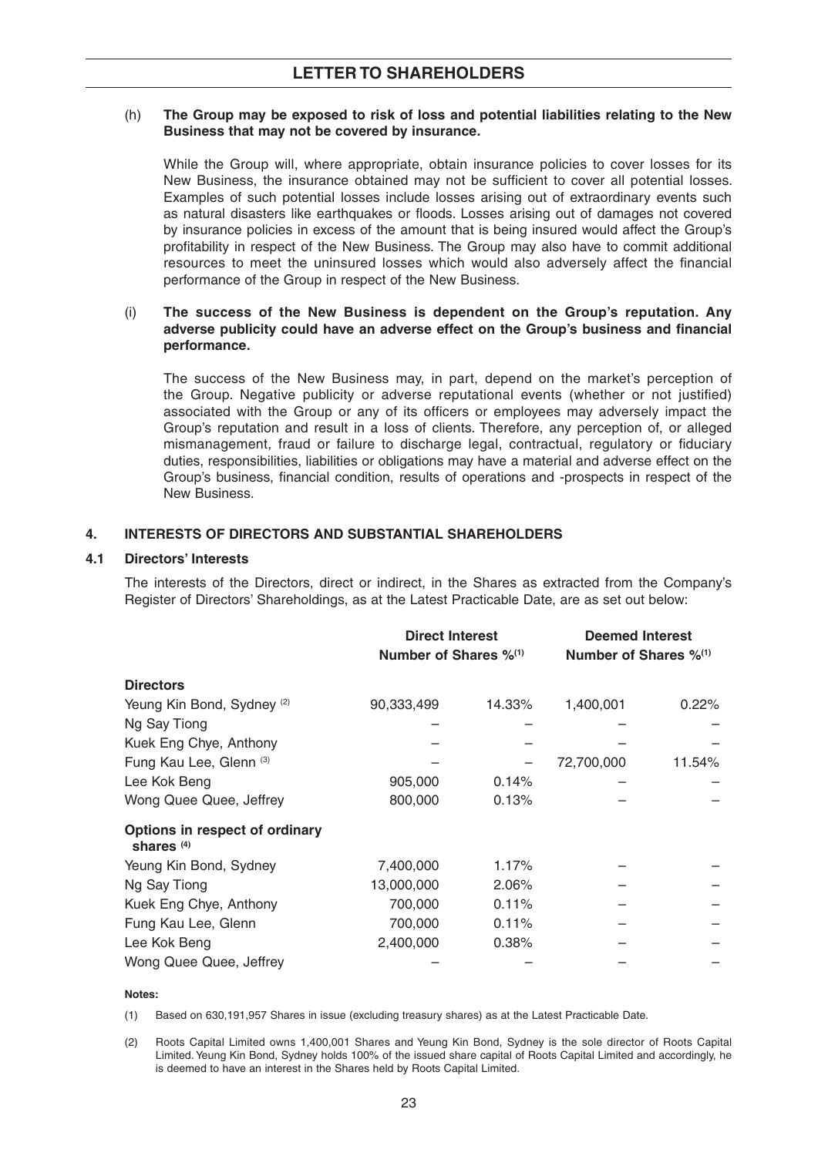#### (h) **The Group may be exposed to risk of loss and potential liabilities relating to the New Business that may not be covered by insurance.**

 While the Group will, where appropriate, obtain insurance policies to cover losses for its New Business, the insurance obtained may not be sufficient to cover all potential losses. Examples of such potential losses include losses arising out of extraordinary events such as natural disasters like earthquakes or floods. Losses arising out of damages not covered by insurance policies in excess of the amount that is being insured would affect the Group's profi tability in respect of the New Business. The Group may also have to commit additional resources to meet the uninsured losses which would also adversely affect the financial performance of the Group in respect of the New Business.

#### (i) **The success of the New Business is dependent on the Group's reputation. Any**  adverse publicity could have an adverse effect on the Group's business and financial **performance.**

 The success of the New Business may, in part, depend on the market's perception of the Group. Negative publicity or adverse reputational events (whether or not justified) associated with the Group or any of its officers or employees may adversely impact the Group's reputation and result in a loss of clients. Therefore, any perception of, or alleged mismanagement, fraud or failure to discharge legal, contractual, regulatory or fiduciary duties, responsibilities, liabilities or obligations may have a material and adverse effect on the Group's business, financial condition, results of operations and -prospects in respect of the New Business.

## **4. INTERESTS OF DIRECTORS AND SUBSTANTIAL SHAREHOLDERS**

## **4.1 Directors' Interests**

 The interests of the Directors, direct or indirect, in the Shares as extracted from the Company's Register of Directors' Shareholdings, as at the Latest Practicable Date, are as set out below:

|                                                | <b>Direct Interest</b><br>Number of Shares $\%^{(1)}$ |        | <b>Deemed Interest</b><br>Number of Shares $\%^{(1)}$ |          |
|------------------------------------------------|-------------------------------------------------------|--------|-------------------------------------------------------|----------|
| <b>Directors</b>                               |                                                       |        |                                                       |          |
| Yeung Kin Bond, Sydney <sup>(2)</sup>          | 90,333,499                                            | 14.33% | 1,400,001                                             | $0.22\%$ |
| Ng Say Tiong                                   |                                                       |        |                                                       |          |
| Kuek Eng Chye, Anthony                         |                                                       |        |                                                       |          |
| Fung Kau Lee, Glenn (3)                        |                                                       |        | 72,700,000                                            | 11.54%   |
| Lee Kok Beng                                   | 905,000                                               | 0.14%  |                                                       |          |
| Wong Quee Quee, Jeffrey                        | 800,000                                               | 0.13%  |                                                       |          |
| Options in respect of ordinary<br>shares $(4)$ |                                                       |        |                                                       |          |
| Yeung Kin Bond, Sydney                         | 7,400,000                                             | 1.17%  |                                                       |          |
| Ng Say Tiong                                   | 13,000,000                                            | 2.06%  |                                                       |          |
| Kuek Eng Chye, Anthony                         | 700,000                                               | 0.11%  |                                                       |          |
| Fung Kau Lee, Glenn                            | 700,000                                               | 0.11%  |                                                       |          |
| Lee Kok Beng                                   | 2,400,000                                             | 0.38%  |                                                       |          |
| Wong Quee Quee, Jeffrey                        |                                                       |        |                                                       |          |

#### **Notes:**

(1) Based on 630,191,957 Shares in issue (excluding treasury shares) as at the Latest Practicable Date.

 (2) Roots Capital Limited owns 1,400,001 Shares and Yeung Kin Bond, Sydney is the sole director of Roots Capital Limited. Yeung Kin Bond, Sydney holds 100% of the issued share capital of Roots Capital Limited and accordingly, he is deemed to have an interest in the Shares held by Roots Capital Limited.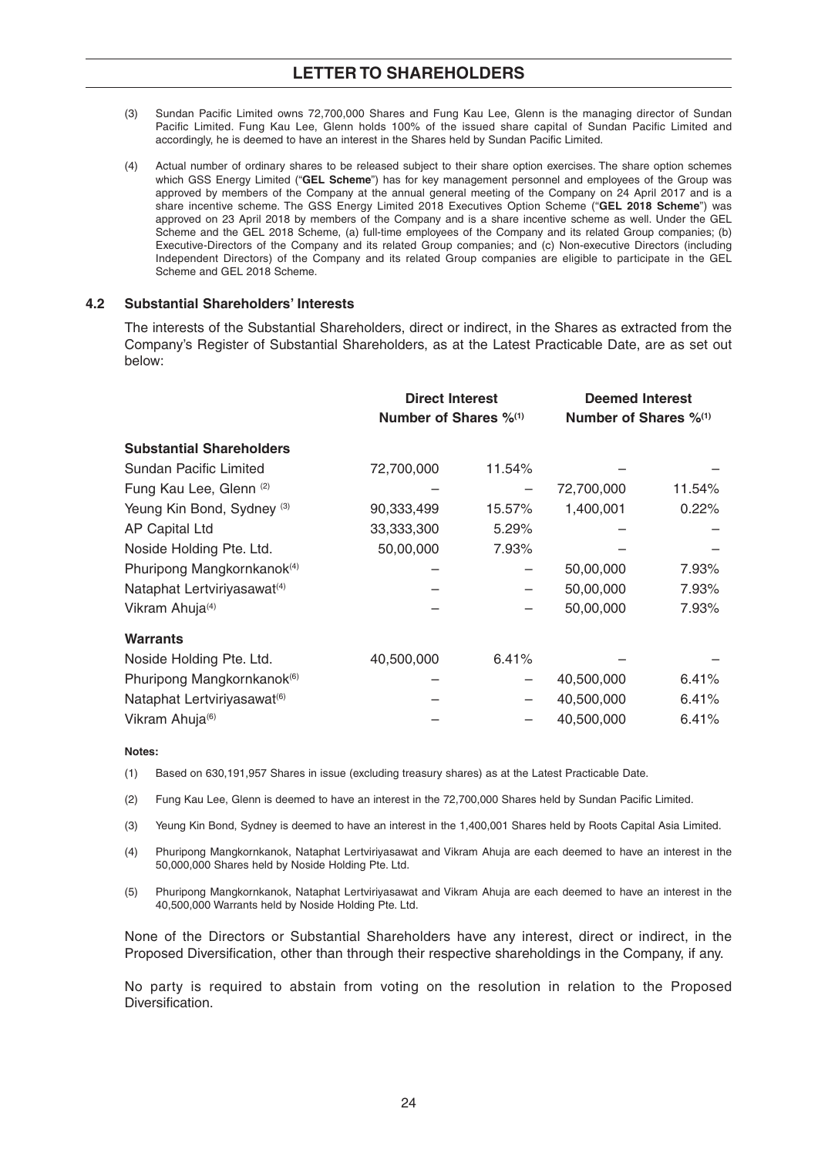- (3) Sundan Pacific Limited owns 72,700,000 Shares and Fung Kau Lee, Glenn is the managing director of Sundan Pacific Limited. Fung Kau Lee, Glenn holds 100% of the issued share capital of Sundan Pacific Limited and accordingly, he is deemed to have an interest in the Shares held by Sundan Pacific Limited.
- (4) Actual number of ordinary shares to be released subject to their share option exercises. The share option schemes which GSS Energy Limited ("**GEL Scheme**") has for key management personnel and employees of the Group was approved by members of the Company at the annual general meeting of the Company on 24 April 2017 and is a share incentive scheme. The GSS Energy Limited 2018 Executives Option Scheme ("**GEL 2018 Scheme**") was approved on 23 April 2018 by members of the Company and is a share incentive scheme as well. Under the GEL Scheme and the GEL 2018 Scheme, (a) full-time employees of the Company and its related Group companies; (b) Executive-Directors of the Company and its related Group companies; and (c) Non-executive Directors (including Independent Directors) of the Company and its related Group companies are eligible to participate in the GEL Scheme and GEL 2018 Scheme.

#### **4.2 Substantial Shareholders' Interests**

 The interests of the Substantial Shareholders, direct or indirect, in the Shares as extracted from the Company's Register of Substantial Shareholders, as at the Latest Practicable Date, are as set out below:

|                                         | <b>Direct Interest</b><br>Number of Shares % <sup>(1)</sup> |        | <b>Deemed Interest</b><br>Number of Shares % <sup>(1)</sup> |        |
|-----------------------------------------|-------------------------------------------------------------|--------|-------------------------------------------------------------|--------|
| <b>Substantial Shareholders</b>         |                                                             |        |                                                             |        |
| Sundan Pacific Limited                  | 72,700,000                                                  | 11.54% |                                                             |        |
| Fung Kau Lee, Glenn (2)                 |                                                             | —      | 72,700,000                                                  | 11.54% |
| Yeung Kin Bond, Sydney <sup>(3)</sup>   | 90,333,499                                                  | 15.57% | 1,400,001                                                   | 0.22%  |
| <b>AP Capital Ltd</b>                   | 33,333,300                                                  | 5.29%  |                                                             |        |
| Noside Holding Pte. Ltd.                | 50,00,000                                                   | 7.93%  |                                                             |        |
| Phuripong Mangkornkanok <sup>(4)</sup>  |                                                             |        | 50,00,000                                                   | 7.93%  |
| Nataphat Lertviriyasawat <sup>(4)</sup> |                                                             |        | 50,00,000                                                   | 7.93%  |
| Vikram Ahuja <sup>(4)</sup>             |                                                             |        | 50,00,000                                                   | 7.93%  |
| <b>Warrants</b>                         |                                                             |        |                                                             |        |
| Noside Holding Pte. Ltd.                | 40,500,000                                                  | 6.41%  |                                                             |        |
| Phuripong Mangkornkanok <sup>(6)</sup>  |                                                             | —      | 40,500,000                                                  | 6.41%  |
| Nataphat Lertviriyasawat <sup>(6)</sup> |                                                             |        | 40,500,000                                                  | 6.41%  |
| Vikram Ahuja <sup>(6)</sup>             |                                                             |        | 40,500,000                                                  | 6.41%  |

#### **Notes:**

(1) Based on 630,191,957 Shares in issue (excluding treasury shares) as at the Latest Practicable Date.

(2) Fung Kau Lee, Glenn is deemed to have an interest in the 72,700,000 Shares held by Sundan Pacific Limited.

(3) Yeung Kin Bond, Sydney is deemed to have an interest in the 1,400,001 Shares held by Roots Capital Asia Limited.

 (4) Phuripong Mangkornkanok, Nataphat Lertviriyasawat and Vikram Ahuja are each deemed to have an interest in the 50,000,000 Shares held by Noside Holding Pte. Ltd.

 (5) Phuripong Mangkornkanok, Nataphat Lertviriyasawat and Vikram Ahuja are each deemed to have an interest in the 40,500,000 Warrants held by Noside Holding Pte. Ltd.

 None of the Directors or Substantial Shareholders have any interest, direct or indirect, in the Proposed Diversification, other than through their respective shareholdings in the Company, if any.

 No party is required to abstain from voting on the resolution in relation to the Proposed Diversification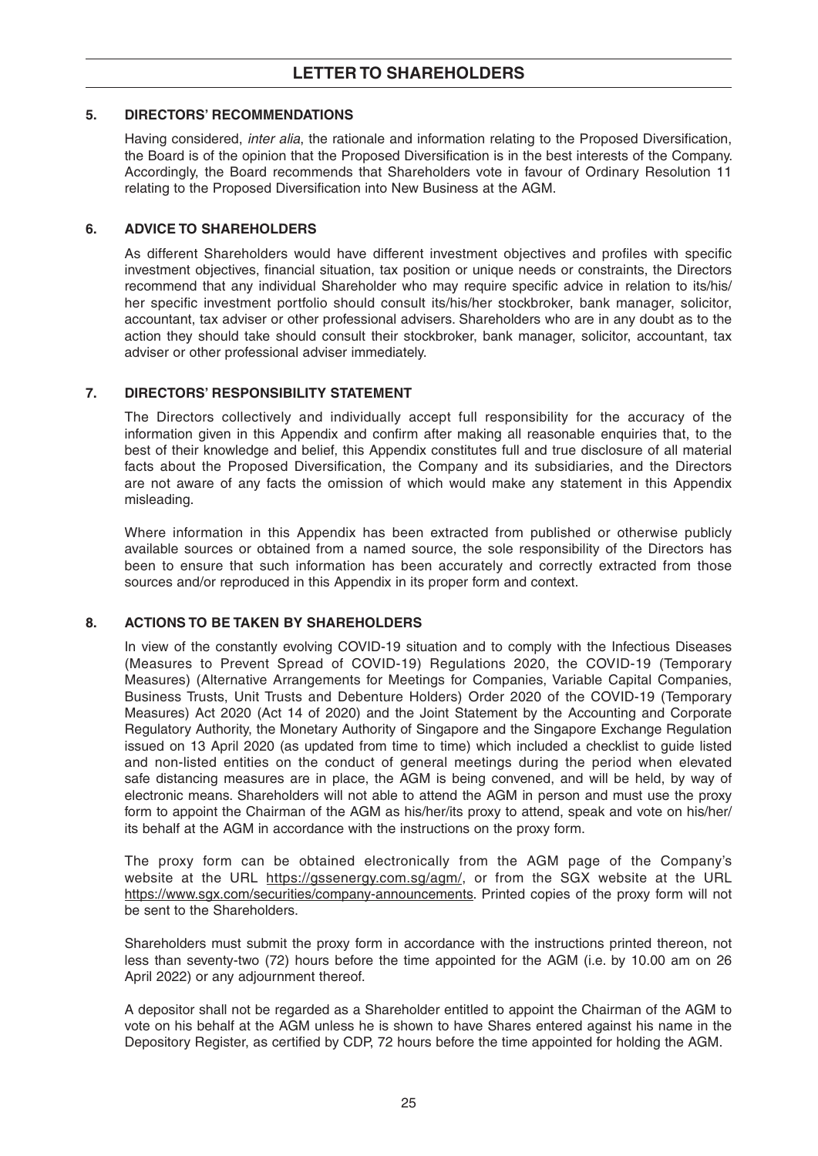## **5. DIRECTORS' RECOMMENDATIONS**

Having considered, *inter alia*, the rationale and information relating to the Proposed Diversification, the Board is of the opinion that the Proposed Diversification is in the best interests of the Company. Accordingly, the Board recommends that Shareholders vote in favour of Ordinary Resolution 11 relating to the Proposed Diversification into New Business at the AGM.

## **6. ADVICE TO SHAREHOLDERS**

As different Shareholders would have different investment objectives and profiles with specific investment objectives, financial situation, tax position or unique needs or constraints, the Directors recommend that any individual Shareholder who may require specific advice in relation to its/his/ her specific investment portfolio should consult its/his/her stockbroker, bank manager, solicitor, accountant, tax adviser or other professional advisers. Shareholders who are in any doubt as to the action they should take should consult their stockbroker, bank manager, solicitor, accountant, tax adviser or other professional adviser immediately.

## **7. DIRECTORS' RESPONSIBILITY STATEMENT**

 The Directors collectively and individually accept full responsibility for the accuracy of the information given in this Appendix and confirm after making all reasonable enquiries that, to the best of their knowledge and belief, this Appendix constitutes full and true disclosure of all material facts about the Proposed Diversification, the Company and its subsidiaries, and the Directors are not aware of any facts the omission of which would make any statement in this Appendix misleading.

 Where information in this Appendix has been extracted from published or otherwise publicly available sources or obtained from a named source, the sole responsibility of the Directors has been to ensure that such information has been accurately and correctly extracted from those sources and/or reproduced in this Appendix in its proper form and context.

## **8. ACTIONS TO BE TAKEN BY SHAREHOLDERS**

 In view of the constantly evolving COVID-19 situation and to comply with the Infectious Diseases (Measures to Prevent Spread of COVID-19) Regulations 2020, the COVID-19 (Temporary Measures) (Alternative Arrangements for Meetings for Companies, Variable Capital Companies, Business Trusts, Unit Trusts and Debenture Holders) Order 2020 of the COVID-19 (Temporary Measures) Act 2020 (Act 14 of 2020) and the Joint Statement by the Accounting and Corporate Regulatory Authority, the Monetary Authority of Singapore and the Singapore Exchange Regulation issued on 13 April 2020 (as updated from time to time) which included a checklist to guide listed and non-listed entities on the conduct of general meetings during the period when elevated safe distancing measures are in place, the AGM is being convened, and will be held, by way of electronic means. Shareholders will not able to attend the AGM in person and must use the proxy form to appoint the Chairman of the AGM as his/her/its proxy to attend, speak and vote on his/her/ its behalf at the AGM in accordance with the instructions on the proxy form.

 The proxy form can be obtained electronically from the AGM page of the Company's website at the URL https://gssenergy.com.sg/agm/, or from the SGX website at the URL https://www.sgx.com/securities/company-announcements. Printed copies of the proxy form will not be sent to the Shareholders.

 Shareholders must submit the proxy form in accordance with the instructions printed thereon, not less than seventy-two (72) hours before the time appointed for the AGM (i.e. by 10.00 am on 26 April 2022) or any adjournment thereof.

 A depositor shall not be regarded as a Shareholder entitled to appoint the Chairman of the AGM to vote on his behalf at the AGM unless he is shown to have Shares entered against his name in the Depository Register, as certified by CDP, 72 hours before the time appointed for holding the AGM.